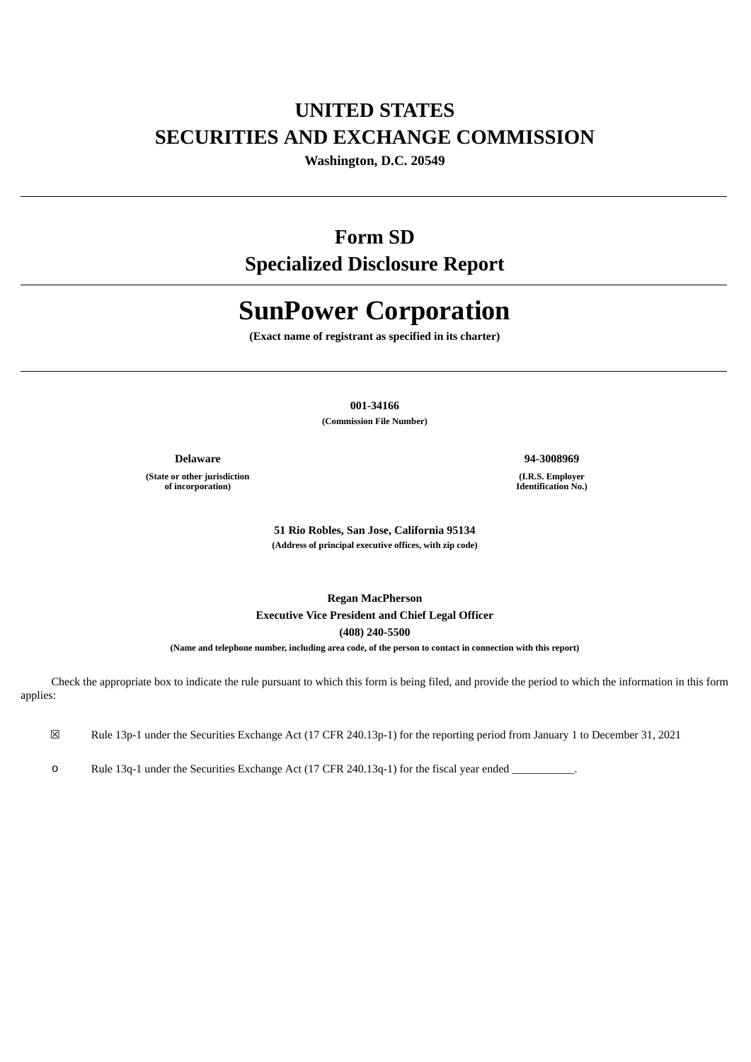# **UNITED STATES SECURITIES AND EXCHANGE COMMISSION**

**Washington, D.C. 20549**

## **Form SD**

**Specialized Disclosure Report**

# **SunPower Corporation**

**(Exact name of registrant as specified in its charter)**

**001-34166**

**(Commission File Number)**

**(State or other jurisdiction of incorporation)**

**Delaware 94-3008969**

**(I.R.S. Employer Identification No.)**

**51 Rio Robles, San Jose, California 95134 (Address of principal executive offices, with zip code)**

**Regan MacPherson Executive Vice President and Chief Legal Officer (408) 240-5500**

**(Name and telephone number, including area code, of the person to contact in connection with this report)**

Check the appropriate box to indicate the rule pursuant to which this form is being filed, and provide the period to which the information in this form applies:

☒ Rule 13p-1 under the Securities Exchange Act (17 CFR 240.13p-1) for the reporting period from January 1 to December 31, 2021

o Rule 13q-1 under the Securities Exchange Act (17 CFR 240.13q-1) for the fiscal year ended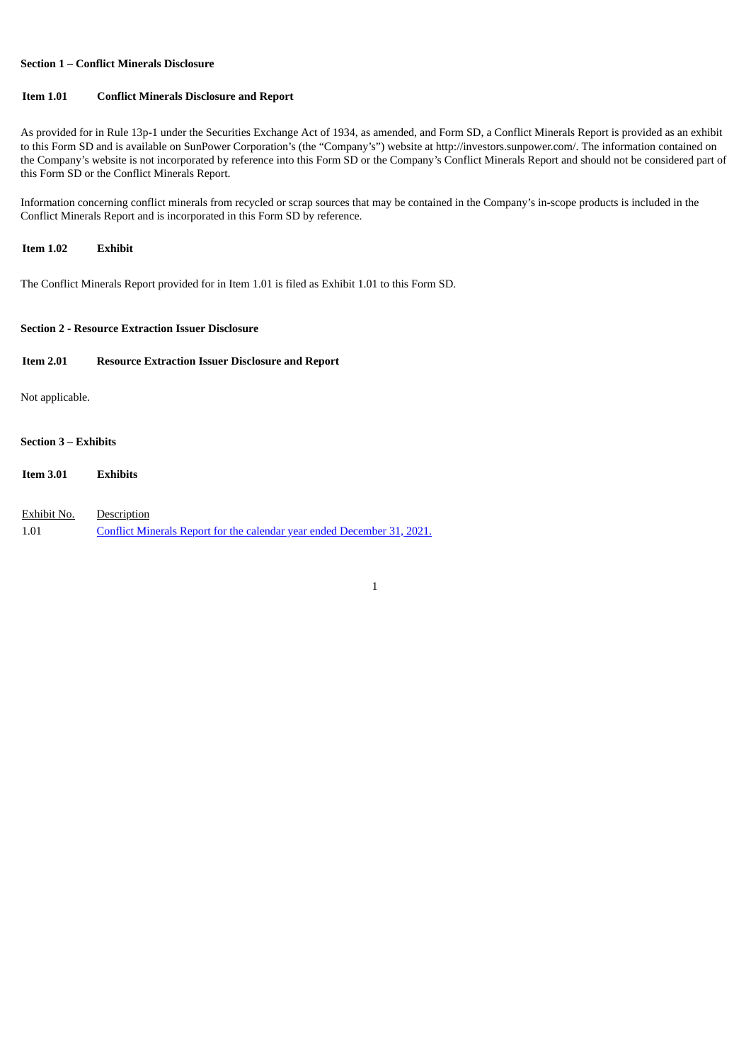#### **Section 1 – Conflict Minerals Disclosure**

## **Item 1.01 Conflict Minerals Disclosure and Report**

As provided for in Rule 13p-1 under the Securities Exchange Act of 1934, as amended, and Form SD, a Conflict Minerals Report is provided as an exhibit to this Form SD and is available on SunPower Corporation's (the "Company's") website at http://investors.sunpower.com/. The information contained on the Company's website is not incorporated by reference into this Form SD or the Company's Conflict Minerals Report and should not be considered part of this Form SD or the Conflict Minerals Report.

Information concerning conflict minerals from recycled or scrap sources that may be contained in the Company's in-scope products is included in the Conflict Minerals Report and is incorporated in this Form SD by reference.

#### **Item 1.02 Exhibit**

The Conflict Minerals Report provided for in Item 1.01 is filed as Exhibit 1.01 to this Form SD.

#### **Section 2 - Resource Extraction Issuer Disclosure**

| <b>Item 2.01</b>            | <b>Resource Extraction Issuer Disclosure and Report</b> |  |  |
|-----------------------------|---------------------------------------------------------|--|--|
| Not applicable.             |                                                         |  |  |
| <b>Section 3 – Exhibits</b> |                                                         |  |  |
| <b>Item 3.01</b>            | <b>Exhibits</b>                                         |  |  |

| Exhibit No. | Description                                                             |
|-------------|-------------------------------------------------------------------------|
| 1.01        | Conflict Minerals Report for the calendar year ended December 31, 2021. |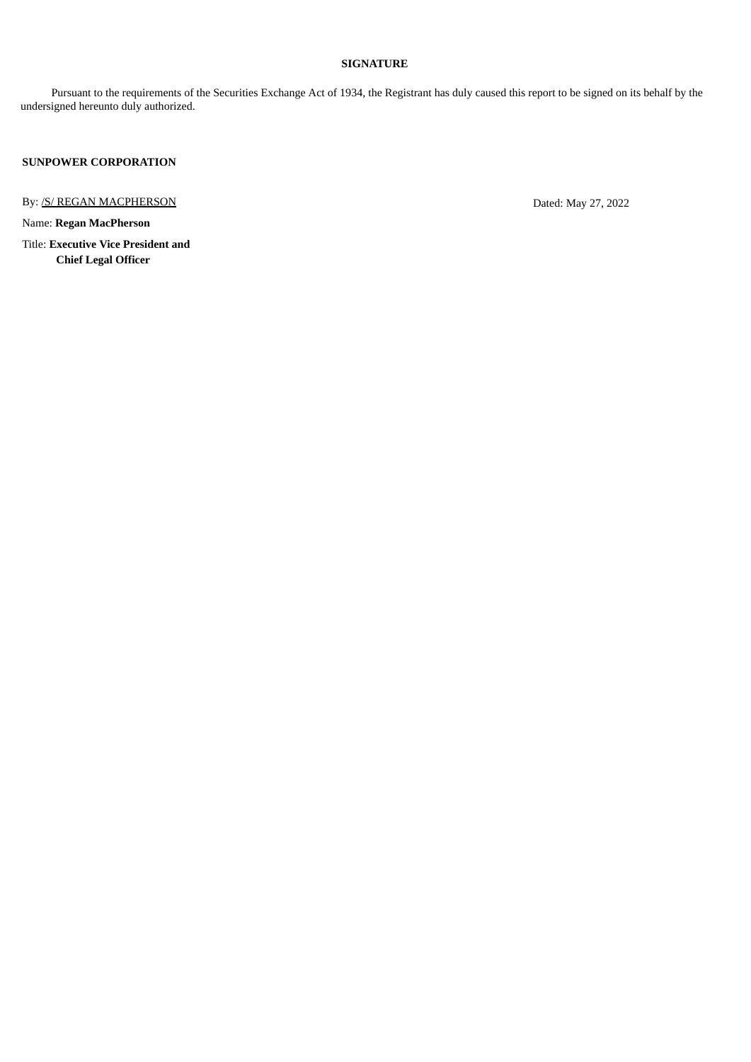### **SIGNATURE**

Pursuant to the requirements of the Securities Exchange Act of 1934, the Registrant has duly caused this report to be signed on its behalf by the undersigned hereunto duly authorized.

**SUNPOWER CORPORATION**

By: <u>/S/ REGAN MACPHERSON</u> Dated: May 27, 2022

Name: **Regan MacPherson**

Title: **Executive Vice President and Chief Legal Officer**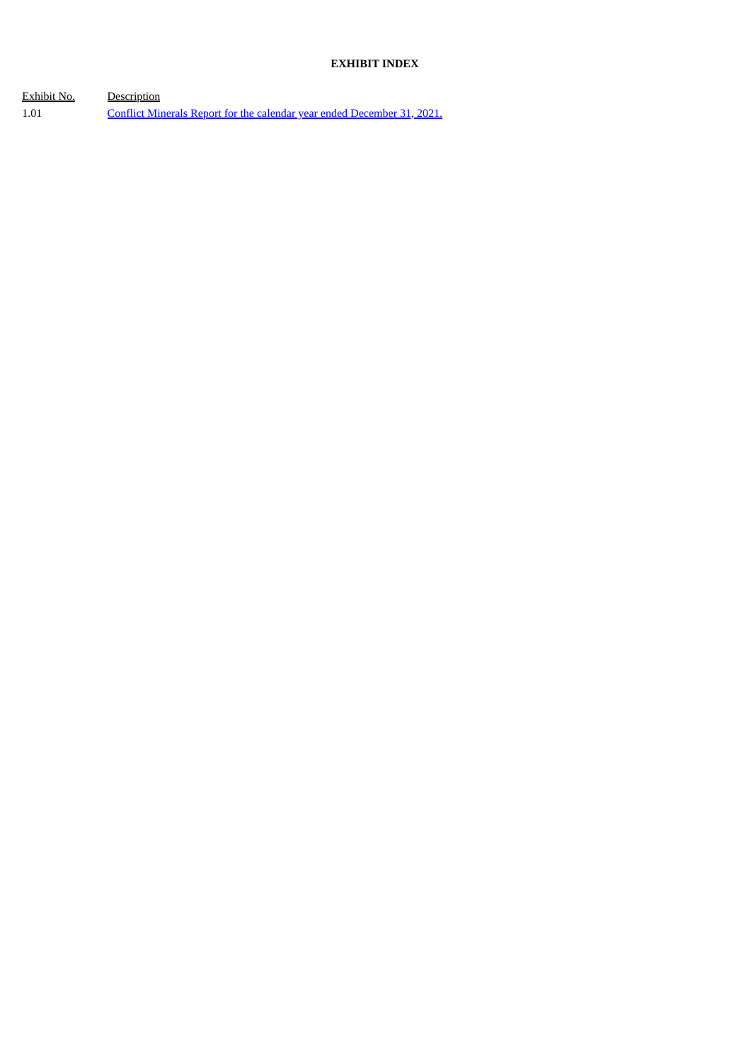## **EXHIBIT INDEX**

Exhibit No. Description 1.01 Conflict Minerals Report for the calendar year ended [December](#page-4-0) 31, 2021.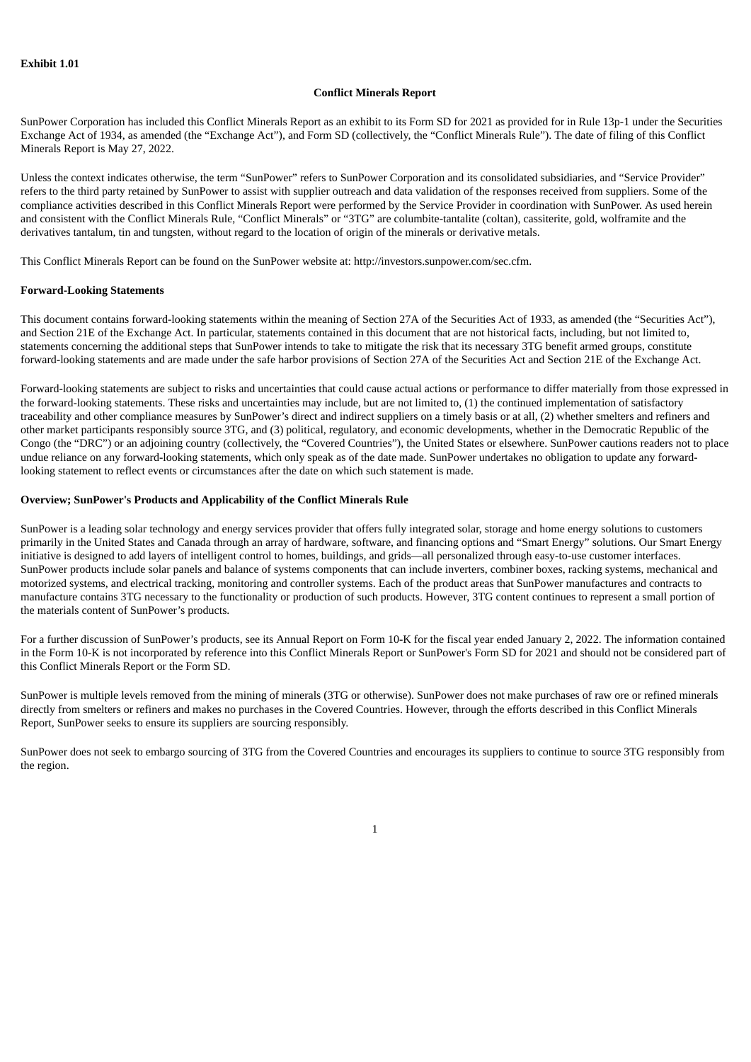#### **Conflict Minerals Report**

<span id="page-4-0"></span>SunPower Corporation has included this Conflict Minerals Report as an exhibit to its Form SD for 2021 as provided for in Rule 13p-1 under the Securities Exchange Act of 1934, as amended (the "Exchange Act"), and Form SD (collectively, the "Conflict Minerals Rule"). The date of filing of this Conflict Minerals Report is May 27, 2022.

Unless the context indicates otherwise, the term "SunPower" refers to SunPower Corporation and its consolidated subsidiaries, and "Service Provider" refers to the third party retained by SunPower to assist with supplier outreach and data validation of the responses received from suppliers. Some of the compliance activities described in this Conflict Minerals Report were performed by the Service Provider in coordination with SunPower. As used herein and consistent with the Conflict Minerals Rule, "Conflict Minerals" or "3TG" are columbite-tantalite (coltan), cassiterite, gold, wolframite and the derivatives tantalum, tin and tungsten, without regard to the location of origin of the minerals or derivative metals.

This Conflict Minerals Report can be found on the SunPower website at: http://investors.sunpower.com/sec.cfm.

#### **Forward-Looking Statements**

This document contains forward-looking statements within the meaning of Section 27A of the Securities Act of 1933, as amended (the "Securities Act"), and Section 21E of the Exchange Act. In particular, statements contained in this document that are not historical facts, including, but not limited to, statements concerning the additional steps that SunPower intends to take to mitigate the risk that its necessary 3TG benefit armed groups, constitute forward-looking statements and are made under the safe harbor provisions of Section 27A of the Securities Act and Section 21E of the Exchange Act.

Forward-looking statements are subject to risks and uncertainties that could cause actual actions or performance to differ materially from those expressed in the forward-looking statements. These risks and uncertainties may include, but are not limited to, (1) the continued implementation of satisfactory traceability and other compliance measures by SunPower's direct and indirect suppliers on a timely basis or at all, (2) whether smelters and refiners and other market participants responsibly source 3TG, and (3) political, regulatory, and economic developments, whether in the Democratic Republic of the Congo (the "DRC") or an adjoining country (collectively, the "Covered Countries"), the United States or elsewhere. SunPower cautions readers not to place undue reliance on any forward-looking statements, which only speak as of the date made. SunPower undertakes no obligation to update any forwardlooking statement to reflect events or circumstances after the date on which such statement is made.

#### **Overview; SunPower's Products and Applicability of the Conflict Minerals Rule**

SunPower is a leading solar technology and energy services provider that offers fully integrated solar, storage and home energy solutions to customers primarily in the United States and Canada through an array of hardware, software, and financing options and "Smart Energy" solutions. Our Smart Energy initiative is designed to add layers of intelligent control to homes, buildings, and grids—all personalized through easy-to-use customer interfaces. SunPower products include solar panels and balance of systems components that can include inverters, combiner boxes, racking systems, mechanical and motorized systems, and electrical tracking, monitoring and controller systems. Each of the product areas that SunPower manufactures and contracts to manufacture contains 3TG necessary to the functionality or production of such products. However, 3TG content continues to represent a small portion of the materials content of SunPower's products.

For a further discussion of SunPower's products, see its Annual Report on Form 10-K for the fiscal year ended January 2, 2022. The information contained in the Form 10-K is not incorporated by reference into this Conflict Minerals Report or SunPower's Form SD for 2021 and should not be considered part of this Conflict Minerals Report or the Form SD.

SunPower is multiple levels removed from the mining of minerals (3TG or otherwise). SunPower does not make purchases of raw ore or refined minerals directly from smelters or refiners and makes no purchases in the Covered Countries. However, through the efforts described in this Conflict Minerals Report, SunPower seeks to ensure its suppliers are sourcing responsibly.

SunPower does not seek to embargo sourcing of 3TG from the Covered Countries and encourages its suppliers to continue to source 3TG responsibly from the region.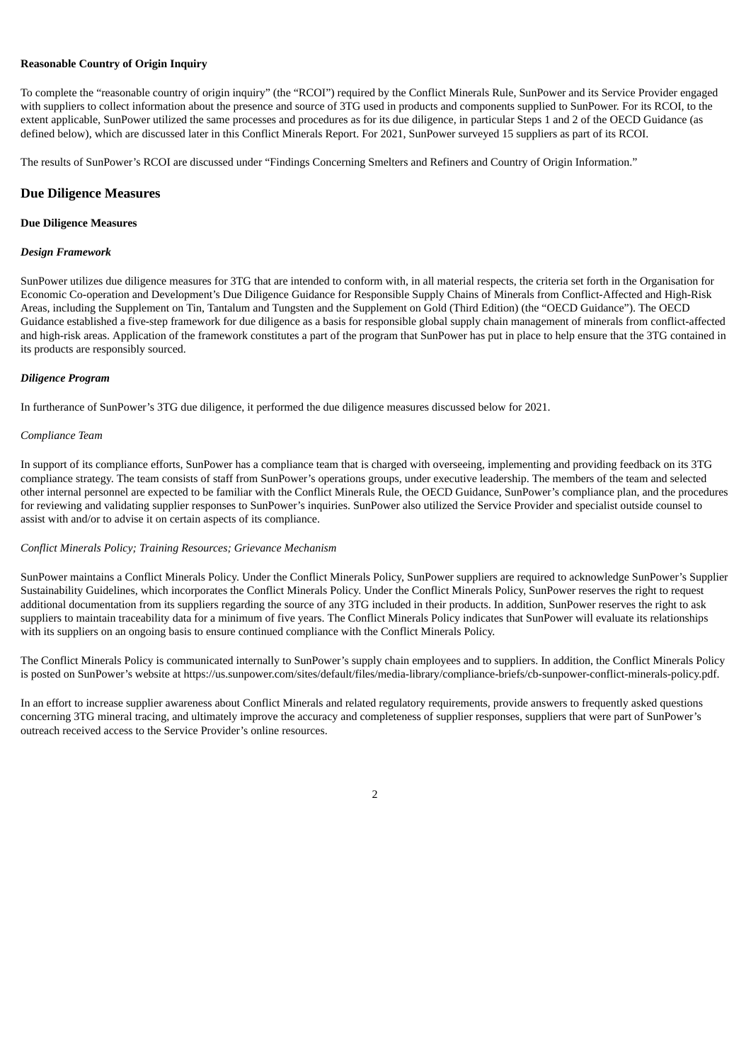#### **Reasonable Country of Origin Inquiry**

To complete the "reasonable country of origin inquiry" (the "RCOI") required by the Conflict Minerals Rule, SunPower and its Service Provider engaged with suppliers to collect information about the presence and source of 3TG used in products and components supplied to SunPower. For its RCOI, to the extent applicable, SunPower utilized the same processes and procedures as for its due diligence, in particular Steps 1 and 2 of the OECD Guidance (as defined below), which are discussed later in this Conflict Minerals Report. For 2021, SunPower surveyed 15 suppliers as part of its RCOI.

The results of SunPower's RCOI are discussed under "Findings Concerning Smelters and Refiners and Country of Origin Information."

#### **Due Diligence Measures**

#### **Due Diligence Measures**

#### *Design Framework*

SunPower utilizes due diligence measures for 3TG that are intended to conform with, in all material respects, the criteria set forth in the Organisation for Economic Co-operation and Development's Due Diligence Guidance for Responsible Supply Chains of Minerals from Conflict-Affected and High-Risk Areas, including the Supplement on Tin, Tantalum and Tungsten and the Supplement on Gold (Third Edition) (the "OECD Guidance"). The OECD Guidance established a five-step framework for due diligence as a basis for responsible global supply chain management of minerals from conflict-affected and high-risk areas. Application of the framework constitutes a part of the program that SunPower has put in place to help ensure that the 3TG contained in its products are responsibly sourced.

#### *Diligence Program*

In furtherance of SunPower's 3TG due diligence, it performed the due diligence measures discussed below for 2021.

#### *Compliance Team*

In support of its compliance efforts, SunPower has a compliance team that is charged with overseeing, implementing and providing feedback on its 3TG compliance strategy. The team consists of staff from SunPower's operations groups, under executive leadership. The members of the team and selected other internal personnel are expected to be familiar with the Conflict Minerals Rule, the OECD Guidance, SunPower's compliance plan, and the procedures for reviewing and validating supplier responses to SunPower's inquiries. SunPower also utilized the Service Provider and specialist outside counsel to assist with and/or to advise it on certain aspects of its compliance.

#### *Conflict Minerals Policy; Training Resources; Grievance Mechanism*

SunPower maintains a Conflict Minerals Policy. Under the Conflict Minerals Policy, SunPower suppliers are required to acknowledge SunPower's Supplier Sustainability Guidelines, which incorporates the Conflict Minerals Policy. Under the Conflict Minerals Policy, SunPower reserves the right to request additional documentation from its suppliers regarding the source of any 3TG included in their products. In addition, SunPower reserves the right to ask suppliers to maintain traceability data for a minimum of five years. The Conflict Minerals Policy indicates that SunPower will evaluate its relationships with its suppliers on an ongoing basis to ensure continued compliance with the Conflict Minerals Policy.

The Conflict Minerals Policy is communicated internally to SunPower's supply chain employees and to suppliers. In addition, the Conflict Minerals Policy is posted on SunPower's website at https://us.sunpower.com/sites/default/files/media-library/compliance-briefs/cb-sunpower-conflict-minerals-policy.pdf.

In an effort to increase supplier awareness about Conflict Minerals and related regulatory requirements, provide answers to frequently asked questions concerning 3TG mineral tracing, and ultimately improve the accuracy and completeness of supplier responses, suppliers that were part of SunPower's outreach received access to the Service Provider's online resources.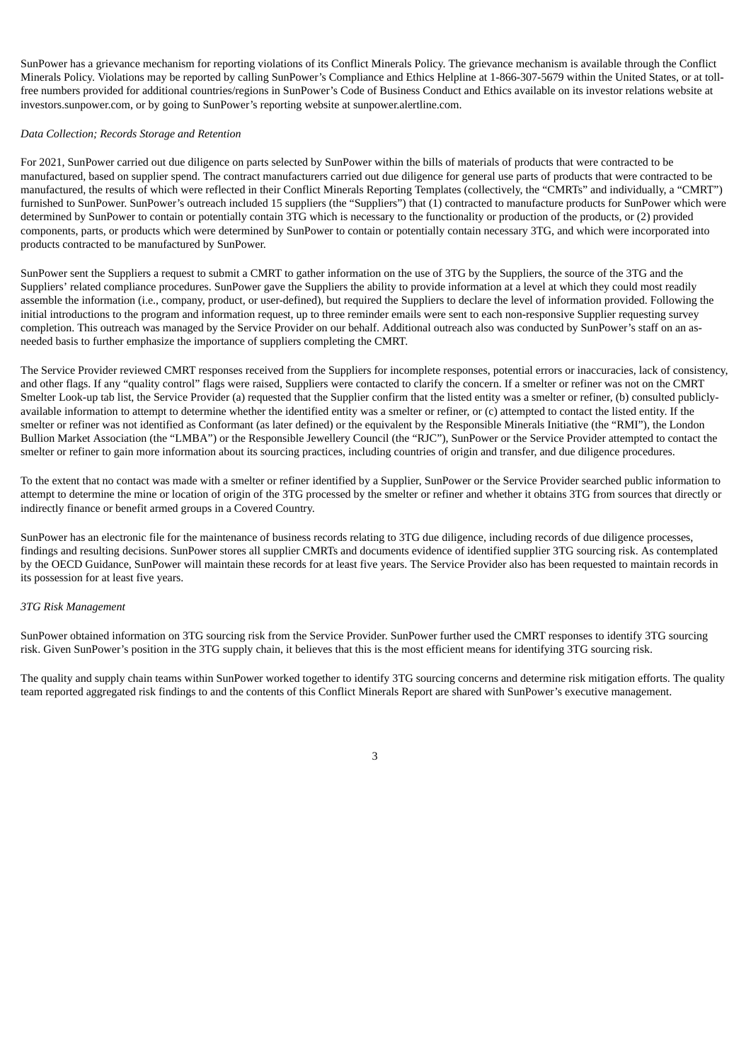SunPower has a grievance mechanism for reporting violations of its Conflict Minerals Policy. The grievance mechanism is available through the Conflict Minerals Policy. Violations may be reported by calling SunPower's Compliance and Ethics Helpline at 1-866-307-5679 within the United States, or at tollfree numbers provided for additional countries/regions in SunPower's Code of Business Conduct and Ethics available on its investor relations website at investors.sunpower.com, or by going to SunPower's reporting website at sunpower.alertline.com.

#### *Data Collection; Records Storage and Retention*

For 2021, SunPower carried out due diligence on parts selected by SunPower within the bills of materials of products that were contracted to be manufactured, based on supplier spend. The contract manufacturers carried out due diligence for general use parts of products that were contracted to be manufactured, the results of which were reflected in their Conflict Minerals Reporting Templates (collectively, the "CMRTs" and individually, a "CMRT") furnished to SunPower. SunPower's outreach included 15 suppliers (the "Suppliers") that (1) contracted to manufacture products for SunPower which were determined by SunPower to contain or potentially contain 3TG which is necessary to the functionality or production of the products, or (2) provided components, parts, or products which were determined by SunPower to contain or potentially contain necessary 3TG, and which were incorporated into products contracted to be manufactured by SunPower.

SunPower sent the Suppliers a request to submit a CMRT to gather information on the use of 3TG by the Suppliers, the source of the 3TG and the Suppliers' related compliance procedures. SunPower gave the Suppliers the ability to provide information at a level at which they could most readily assemble the information (i.e., company, product, or user-defined), but required the Suppliers to declare the level of information provided. Following the initial introductions to the program and information request, up to three reminder emails were sent to each non-responsive Supplier requesting survey completion. This outreach was managed by the Service Provider on our behalf. Additional outreach also was conducted by SunPower's staff on an asneeded basis to further emphasize the importance of suppliers completing the CMRT.

The Service Provider reviewed CMRT responses received from the Suppliers for incomplete responses, potential errors or inaccuracies, lack of consistency, and other flags. If any "quality control" flags were raised, Suppliers were contacted to clarify the concern. If a smelter or refiner was not on the CMRT Smelter Look-up tab list, the Service Provider (a) requested that the Supplier confirm that the listed entity was a smelter or refiner, (b) consulted publiclyavailable information to attempt to determine whether the identified entity was a smelter or refiner, or (c) attempted to contact the listed entity. If the smelter or refiner was not identified as Conformant (as later defined) or the equivalent by the Responsible Minerals Initiative (the "RMI"), the London Bullion Market Association (the "LMBA") or the Responsible Jewellery Council (the "RJC"), SunPower or the Service Provider attempted to contact the smelter or refiner to gain more information about its sourcing practices, including countries of origin and transfer, and due diligence procedures.

To the extent that no contact was made with a smelter or refiner identified by a Supplier, SunPower or the Service Provider searched public information to attempt to determine the mine or location of origin of the 3TG processed by the smelter or refiner and whether it obtains 3TG from sources that directly or indirectly finance or benefit armed groups in a Covered Country.

SunPower has an electronic file for the maintenance of business records relating to 3TG due diligence, including records of due diligence processes, findings and resulting decisions. SunPower stores all supplier CMRTs and documents evidence of identified supplier 3TG sourcing risk. As contemplated by the OECD Guidance, SunPower will maintain these records for at least five years. The Service Provider also has been requested to maintain records in its possession for at least five years.

#### *3TG Risk Management*

SunPower obtained information on 3TG sourcing risk from the Service Provider. SunPower further used the CMRT responses to identify 3TG sourcing risk. Given SunPower's position in the 3TG supply chain, it believes that this is the most efficient means for identifying 3TG sourcing risk.

The quality and supply chain teams within SunPower worked together to identify 3TG sourcing concerns and determine risk mitigation efforts. The quality team reported aggregated risk findings to and the contents of this Conflict Minerals Report are shared with SunPower's executive management.

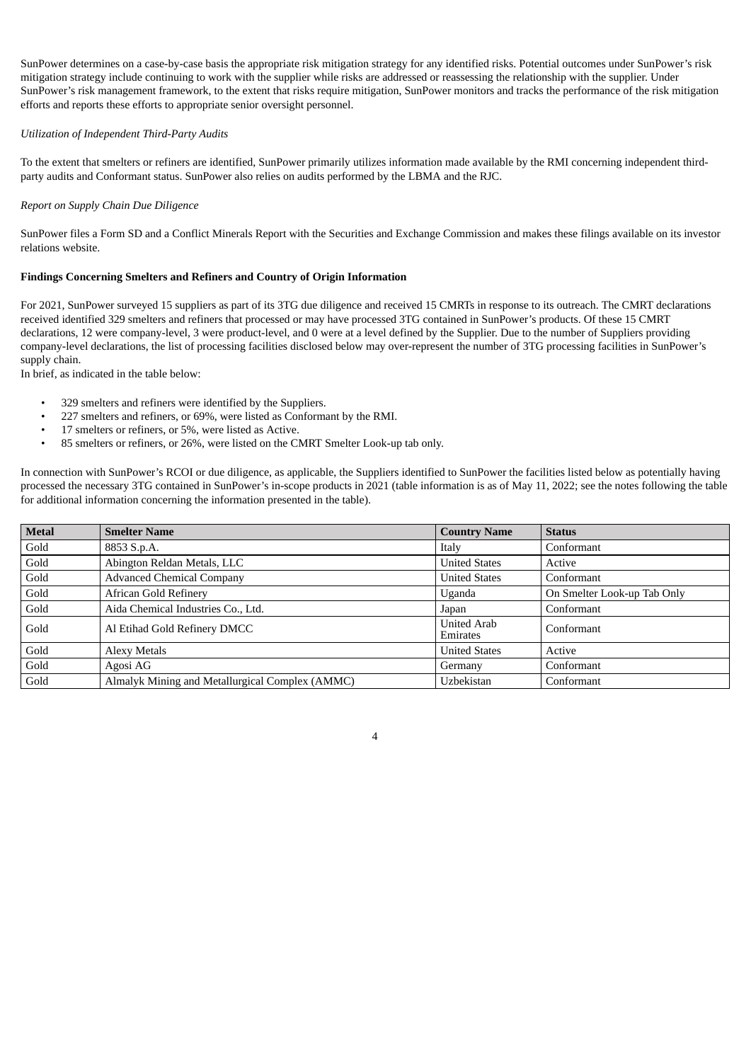SunPower determines on a case-by-case basis the appropriate risk mitigation strategy for any identified risks. Potential outcomes under SunPower's risk mitigation strategy include continuing to work with the supplier while risks are addressed or reassessing the relationship with the supplier. Under SunPower's risk management framework, to the extent that risks require mitigation, SunPower monitors and tracks the performance of the risk mitigation efforts and reports these efforts to appropriate senior oversight personnel.

#### *Utilization of Independent Third-Party Audits*

To the extent that smelters or refiners are identified, SunPower primarily utilizes information made available by the RMI concerning independent thirdparty audits and Conformant status. SunPower also relies on audits performed by the LBMA and the RJC.

#### *Report on Supply Chain Due Diligence*

SunPower files a Form SD and a Conflict Minerals Report with the Securities and Exchange Commission and makes these filings available on its investor relations website.

#### **Findings Concerning Smelters and Refiners and Country of Origin Information**

For 2021, SunPower surveyed 15 suppliers as part of its 3TG due diligence and received 15 CMRTs in response to its outreach. The CMRT declarations received identified 329 smelters and refiners that processed or may have processed 3TG contained in SunPower's products. Of these 15 CMRT declarations, 12 were company-level, 3 were product-level, and 0 were at a level defined by the Supplier. Due to the number of Suppliers providing company-level declarations, the list of processing facilities disclosed below may over-represent the number of 3TG processing facilities in SunPower's supply chain.

In brief, as indicated in the table below:

- 329 smelters and refiners were identified by the Suppliers.
- 227 smelters and refiners, or 69%, were listed as Conformant by the RMI.
- 17 smelters or refiners, or 5%, were listed as Active.
- 85 smelters or refiners, or 26%, were listed on the CMRT Smelter Look-up tab only.

In connection with SunPower's RCOI or due diligence, as applicable, the Suppliers identified to SunPower the facilities listed below as potentially having processed the necessary 3TG contained in SunPower's in-scope products in 2021 (table information is as of May 11, 2022; see the notes following the table for additional information concerning the information presented in the table).

| <b>Metal</b> | <b>Smelter Name</b>                             | <b>Country Name</b>            | <b>Status</b>               |
|--------------|-------------------------------------------------|--------------------------------|-----------------------------|
| Gold         | 8853 S.p.A.                                     | Italy                          | Conformant                  |
| Gold         | Abington Reldan Metals, LLC                     | <b>United States</b>           | Active                      |
| Gold         | <b>Advanced Chemical Company</b>                | <b>United States</b>           | Conformant                  |
| Gold         | <b>African Gold Refinery</b>                    | Uganda                         | On Smelter Look-up Tab Only |
| Gold         | Aida Chemical Industries Co., Ltd.              | Japan                          | Conformant                  |
| Gold         | Al Etihad Gold Refinery DMCC                    | <b>United Arab</b><br>Emirates | Conformant                  |
| Gold         | <b>Alexy Metals</b>                             | <b>United States</b>           | Active                      |
| Gold         | Agosi AG                                        | Germany                        | Conformant                  |
| Gold         | Almalyk Mining and Metallurgical Complex (AMMC) | Uzbekistan                     | Conformant                  |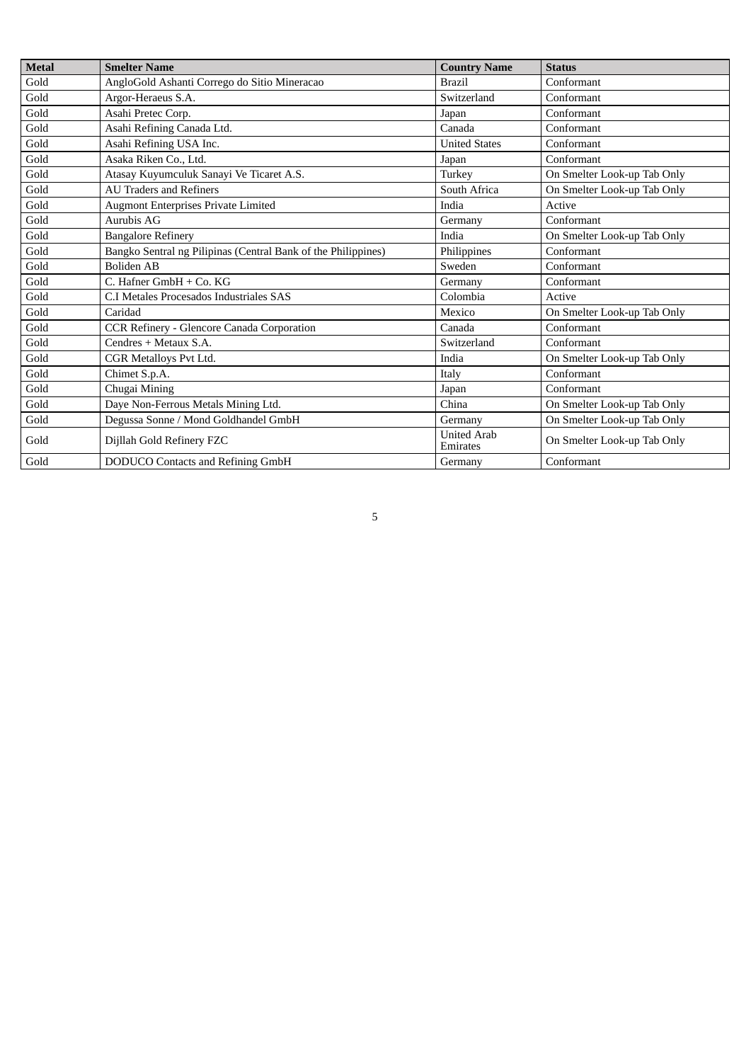| <b>Metal</b> | <b>Smelter Name</b>                                           | <b>Country Name</b>            | <b>Status</b>               |
|--------------|---------------------------------------------------------------|--------------------------------|-----------------------------|
| Gold         | AngloGold Ashanti Corrego do Sitio Mineracao                  | <b>Brazil</b>                  | Conformant                  |
| Gold         | Argor-Heraeus S.A.                                            | Switzerland                    | Conformant                  |
| Gold         | Asahi Pretec Corp.                                            | Japan                          | Conformant                  |
| Gold         | Asahi Refining Canada Ltd.                                    | Canada                         | Conformant                  |
| Gold         | Asahi Refining USA Inc.                                       | <b>United States</b>           | Conformant                  |
| Gold         | Asaka Riken Co., Ltd.                                         | Japan                          | Conformant                  |
| Gold         | Atasay Kuyumculuk Sanayi Ve Ticaret A.S.                      | Turkey                         | On Smelter Look-up Tab Only |
| Gold         | <b>AU Traders and Refiners</b>                                | South Africa                   | On Smelter Look-up Tab Only |
| Gold         | <b>Augmont Enterprises Private Limited</b>                    | India                          | Active                      |
| Gold         | Aurubis AG                                                    | Germany                        | Conformant                  |
| Gold         | <b>Bangalore Refinery</b>                                     | India                          | On Smelter Look-up Tab Only |
| Gold         | Bangko Sentral ng Pilipinas (Central Bank of the Philippines) | Philippines                    | Conformant                  |
| Gold         | Boliden AB                                                    | Sweden                         | Conformant                  |
| Gold         | C. Hafner GmbH + Co. KG                                       | Germany                        | Conformant                  |
| Gold         | C.I Metales Procesados Industriales SAS                       | Colombia                       | Active                      |
| Gold         | Caridad                                                       | Mexico                         | On Smelter Look-up Tab Only |
| Gold         | CCR Refinery - Glencore Canada Corporation                    | Canada                         | Conformant                  |
| Gold         | Cendres + Metaux S.A.                                         | Switzerland                    | Conformant                  |
| Gold         | CGR Metalloys Pvt Ltd.                                        | India                          | On Smelter Look-up Tab Only |
| Gold         | Chimet S.p.A.                                                 | Italy                          | Conformant                  |
| Gold         | Chugai Mining                                                 | Japan                          | Conformant                  |
| Gold         | Daye Non-Ferrous Metals Mining Ltd.                           | China                          | On Smelter Look-up Tab Only |
| Gold         | Degussa Sonne / Mond Goldhandel GmbH                          | Germany                        | On Smelter Look-up Tab Only |
| Gold         | Dijllah Gold Refinery FZC                                     | <b>United Arab</b><br>Emirates | On Smelter Look-up Tab Only |
| Gold         | DODUCO Contacts and Refining GmbH                             | Germany                        | Conformant                  |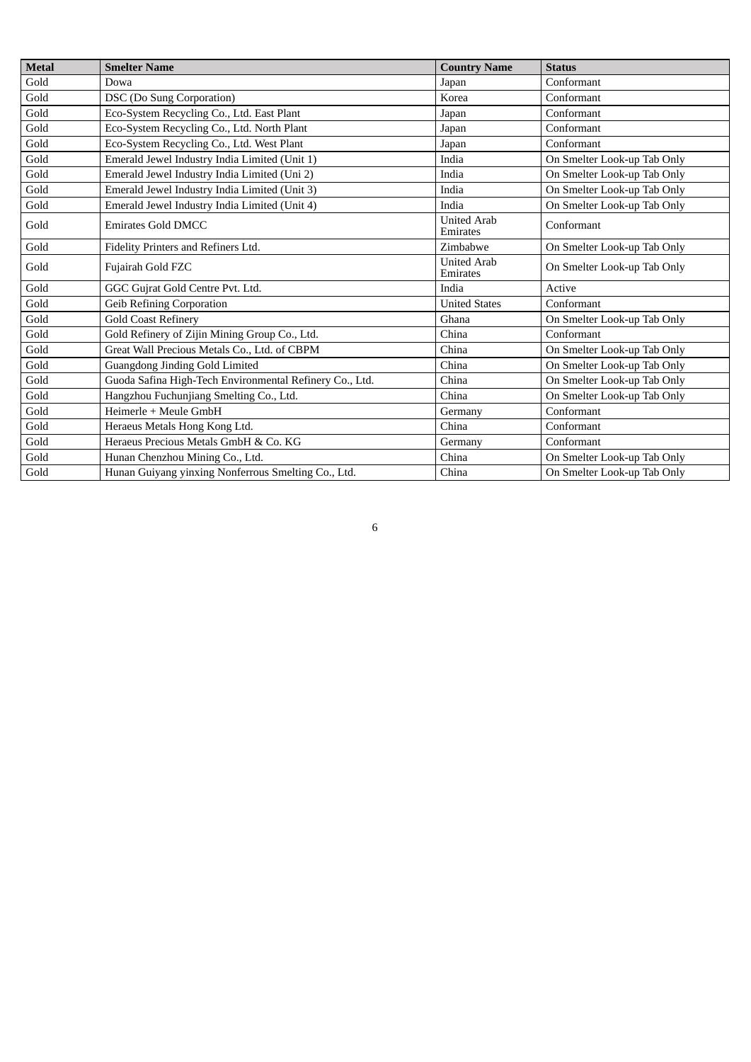| Metal | <b>Smelter Name</b>                                     | <b>Country Name</b>            | <b>Status</b>               |
|-------|---------------------------------------------------------|--------------------------------|-----------------------------|
| Gold  | Dowa                                                    | Japan                          | Conformant                  |
| Gold  | <b>DSC</b> (Do Sung Corporation)                        | Korea                          | Conformant                  |
| Gold  | Eco-System Recycling Co., Ltd. East Plant               | Japan                          | Conformant                  |
| Gold  | Eco-System Recycling Co., Ltd. North Plant              | Japan                          | Conformant                  |
| Gold  | Eco-System Recycling Co., Ltd. West Plant               | Japan                          | Conformant                  |
| Gold  | Emerald Jewel Industry India Limited (Unit 1)           | India                          | On Smelter Look-up Tab Only |
| Gold  | Emerald Jewel Industry India Limited (Uni 2)            | India                          | On Smelter Look-up Tab Only |
| Gold  | Emerald Jewel Industry India Limited (Unit 3)           | India                          | On Smelter Look-up Tab Only |
| Gold  | Emerald Jewel Industry India Limited (Unit 4)           | India                          | On Smelter Look-up Tab Only |
| Gold  | Emirates Gold DMCC                                      | <b>United Arab</b><br>Emirates | Conformant                  |
| Gold  | Fidelity Printers and Refiners Ltd.                     | Zimbabwe                       | On Smelter Look-up Tab Only |
| Gold  | Fujairah Gold FZC                                       | <b>United Arab</b><br>Emirates | On Smelter Look-up Tab Only |
| Gold  | GGC Gujrat Gold Centre Pvt. Ltd.                        | India                          | Active                      |
| Gold  | <b>Geib Refining Corporation</b>                        | <b>United States</b>           | Conformant                  |
| Gold  | <b>Gold Coast Refinery</b>                              | Ghana                          | On Smelter Look-up Tab Only |
| Gold  | Gold Refinery of Zijin Mining Group Co., Ltd.           | China                          | Conformant                  |
| Gold  | Great Wall Precious Metals Co., Ltd. of CBPM            | China                          | On Smelter Look-up Tab Only |
| Gold  | Guangdong Jinding Gold Limited                          | China                          | On Smelter Look-up Tab Only |
| Gold  | Guoda Safina High-Tech Environmental Refinery Co., Ltd. | China                          | On Smelter Look-up Tab Only |
| Gold  | Hangzhou Fuchunjiang Smelting Co., Ltd.                 | China                          | On Smelter Look-up Tab Only |
| Gold  | Heimerle + Meule GmbH                                   | Germany                        | Conformant                  |
| Gold  | Heraeus Metals Hong Kong Ltd.                           | China                          | Conformant                  |
| Gold  | Heraeus Precious Metals GmbH & Co. KG                   | Germany                        | Conformant                  |
| Gold  | Hunan Chenzhou Mining Co., Ltd.                         | China                          | On Smelter Look-up Tab Only |
| Gold  | Hunan Guiyang yinxing Nonferrous Smelting Co., Ltd.     | China                          | On Smelter Look-up Tab Only |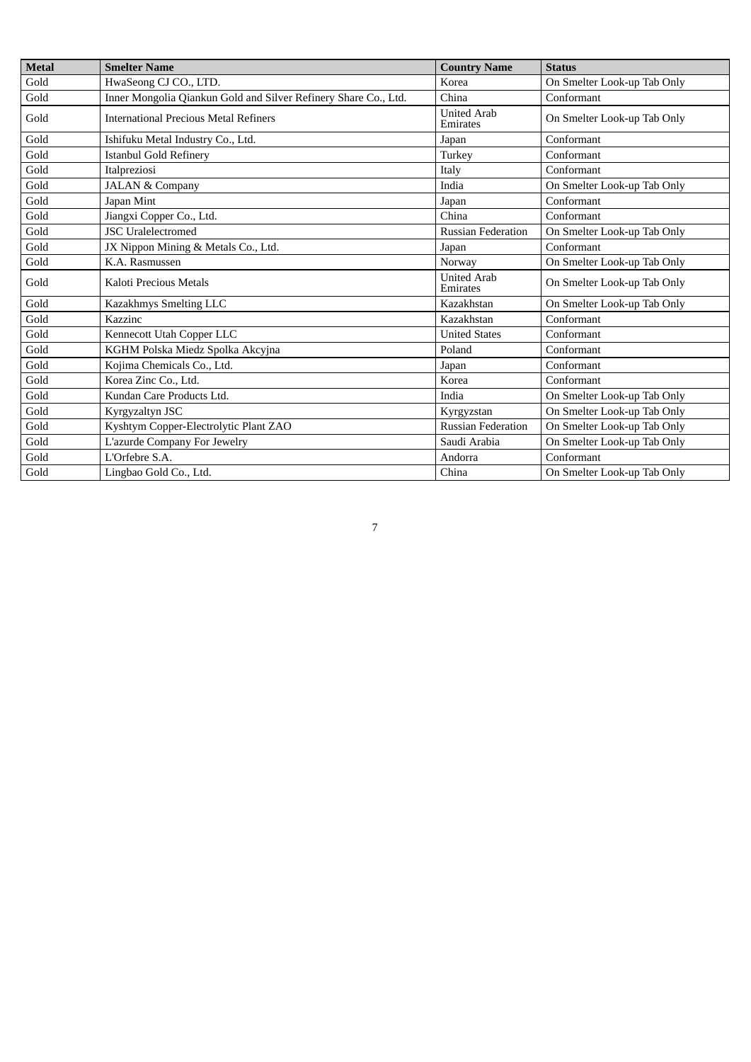| <b>Metal</b> | <b>Smelter Name</b>                                             | <b>Country Name</b>            | <b>Status</b>               |
|--------------|-----------------------------------------------------------------|--------------------------------|-----------------------------|
| Gold         | HwaSeong CJ CO., LTD.                                           | Korea                          | On Smelter Look-up Tab Only |
| Gold         | Inner Mongolia Qiankun Gold and Silver Refinery Share Co., Ltd. | China                          | Conformant                  |
| Gold         | <b>International Precious Metal Refiners</b>                    | <b>United Arab</b><br>Emirates | On Smelter Look-up Tab Only |
| Gold         | Ishifuku Metal Industry Co., Ltd.                               | Japan                          | Conformant                  |
| Gold         | <b>Istanbul Gold Refinery</b>                                   | Turkey                         | Conformant                  |
| Gold         | Italpreziosi                                                    | Italy                          | Conformant                  |
| Gold         | <b>JALAN &amp; Company</b>                                      | India                          | On Smelter Look-up Tab Only |
| Gold         | Japan Mint                                                      | Japan                          | Conformant                  |
| Gold         | Jiangxi Copper Co., Ltd.                                        | China                          | Conformant                  |
| Gold         | <b>JSC Uralelectromed</b>                                       | <b>Russian Federation</b>      | On Smelter Look-up Tab Only |
| Gold         | JX Nippon Mining & Metals Co., Ltd.                             | Japan                          | Conformant                  |
| Gold         | K.A. Rasmussen                                                  | Norway                         | On Smelter Look-up Tab Only |
| Gold         | Kaloti Precious Metals                                          | <b>United Arab</b><br>Emirates | On Smelter Look-up Tab Only |
| Gold         | Kazakhmys Smelting LLC                                          | Kazakhstan                     | On Smelter Look-up Tab Only |
| Gold         | Kazzinc                                                         | Kazakhstan                     | Conformant                  |
| Gold         | Kennecott Utah Copper LLC                                       | <b>United States</b>           | Conformant                  |
| Gold         | KGHM Polska Miedz Spolka Akcyjna                                | Poland                         | Conformant                  |
| Gold         | Kojima Chemicals Co., Ltd.                                      | Japan                          | Conformant                  |
| Gold         | Korea Zinc Co., Ltd.                                            | Korea                          | Conformant                  |
| Gold         | Kundan Care Products Ltd.                                       | India                          | On Smelter Look-up Tab Only |
| Gold         | Kyrgyzaltyn JSC                                                 | Kyrgyzstan                     | On Smelter Look-up Tab Only |
| Gold         | Kyshtym Copper-Electrolytic Plant ZAO                           | <b>Russian Federation</b>      | On Smelter Look-up Tab Only |
| Gold         | L'azurde Company For Jewelry                                    | Saudi Arabia                   | On Smelter Look-up Tab Only |
| Gold         | L'Orfebre S.A.                                                  | Andorra                        | Conformant                  |
| Gold         | Lingbao Gold Co., Ltd.                                          | China                          | On Smelter Look-up Tab Only |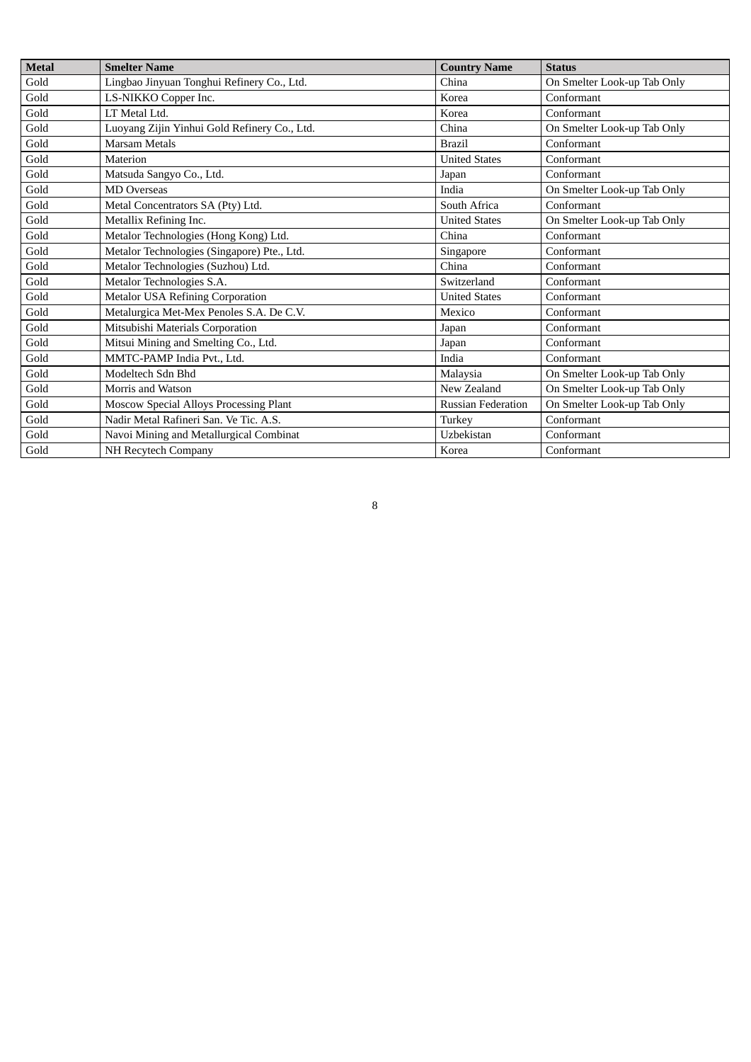| Metal | <b>Smelter Name</b>                          | <b>Country Name</b>       | <b>Status</b>               |
|-------|----------------------------------------------|---------------------------|-----------------------------|
| Gold  | Lingbao Jinyuan Tonghui Refinery Co., Ltd.   | China                     | On Smelter Look-up Tab Only |
| Gold  | LS-NIKKO Copper Inc.                         | Korea                     | Conformant                  |
| Gold  | LT Metal Ltd.                                | Korea                     | Conformant                  |
| Gold  | Luoyang Zijin Yinhui Gold Refinery Co., Ltd. | China                     | On Smelter Look-up Tab Only |
| Gold  | Marsam Metals                                | <b>Brazil</b>             | Conformant                  |
| Gold  | Materion                                     | <b>United States</b>      | Conformant                  |
| Gold  | Matsuda Sangyo Co., Ltd.                     | Japan                     | Conformant                  |
| Gold  | <b>MD Overseas</b>                           | India                     | On Smelter Look-up Tab Only |
| Gold  | Metal Concentrators SA (Pty) Ltd.            | South Africa              | Conformant                  |
| Gold  | Metallix Refining Inc.                       | <b>United States</b>      | On Smelter Look-up Tab Only |
| Gold  | Metalor Technologies (Hong Kong) Ltd.        | China                     | Conformant                  |
| Gold  | Metalor Technologies (Singapore) Pte., Ltd.  | Singapore                 | Conformant                  |
| Gold  | Metalor Technologies (Suzhou) Ltd.           | China                     | Conformant                  |
| Gold  | Metalor Technologies S.A.                    | Switzerland               | Conformant                  |
| Gold  | <b>Metalor USA Refining Corporation</b>      | <b>United States</b>      | Conformant                  |
| Gold  | Metalurgica Met-Mex Penoles S.A. De C.V.     | Mexico                    | Conformant                  |
| Gold  | Mitsubishi Materials Corporation             | Japan                     | Conformant                  |
| Gold  | Mitsui Mining and Smelting Co., Ltd.         | Japan                     | Conformant                  |
| Gold  | MMTC-PAMP India Pvt., Ltd.                   | India                     | Conformant                  |
| Gold  | Modeltech Sdn Bhd                            | Malaysia                  | On Smelter Look-up Tab Only |
| Gold  | Morris and Watson                            | New Zealand               | On Smelter Look-up Tab Only |
| Gold  | Moscow Special Alloys Processing Plant       | <b>Russian Federation</b> | On Smelter Look-up Tab Only |
| Gold  | Nadir Metal Rafineri San. Ve Tic. A.S.       | Turkey                    | Conformant                  |
| Gold  | Navoi Mining and Metallurgical Combinat      | Uzbekistan                | Conformant                  |
| Gold  | NH Recytech Company                          | Korea                     | Conformant                  |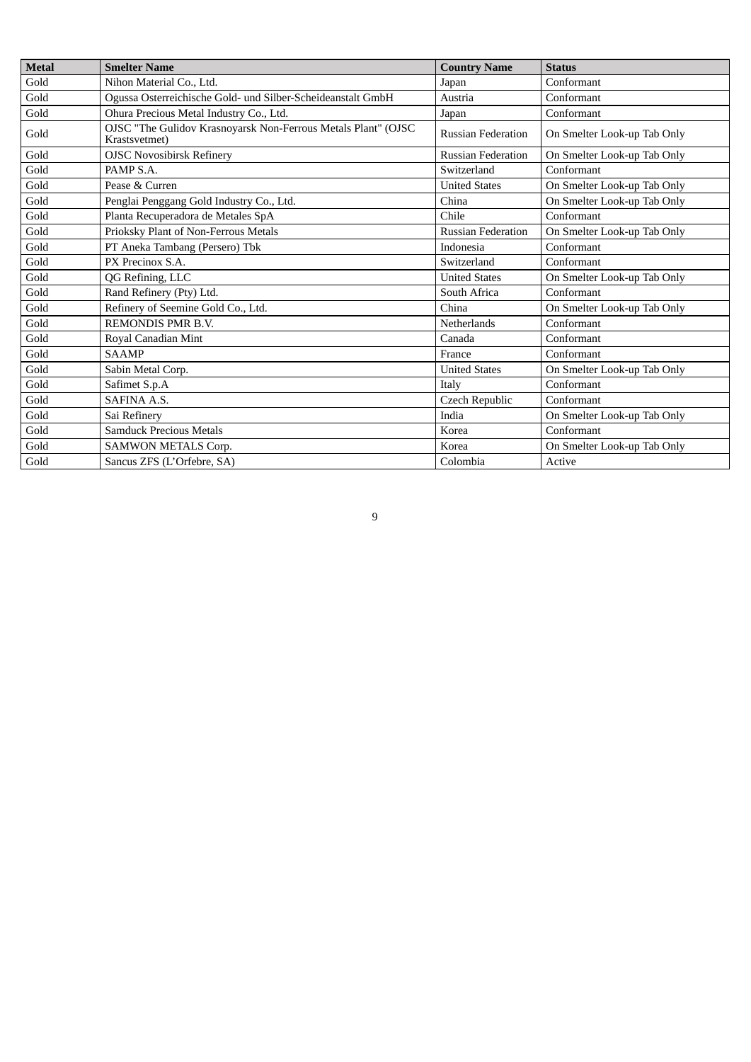| <b>Metal</b> | <b>Smelter Name</b>                                                            | <b>Country Name</b>       | <b>Status</b>               |
|--------------|--------------------------------------------------------------------------------|---------------------------|-----------------------------|
| Gold         | Nihon Material Co., Ltd.                                                       | Japan                     | Conformant                  |
| Gold         | Ogussa Osterreichische Gold- und Silber-Scheideanstalt GmbH                    | Austria                   | Conformant                  |
| Gold         | Ohura Precious Metal Industry Co., Ltd.                                        | Japan                     | Conformant                  |
| Gold         | OJSC "The Gulidov Krasnoyarsk Non-Ferrous Metals Plant" (OJSC<br>Krastsvetmet) | <b>Russian Federation</b> | On Smelter Look-up Tab Only |
| Gold         | <b>OJSC Novosibirsk Refinery</b>                                               | <b>Russian Federation</b> | On Smelter Look-up Tab Only |
| Gold         | PAMP S.A.                                                                      | Switzerland               | Conformant                  |
| Gold         | Pease & Curren                                                                 | <b>United States</b>      | On Smelter Look-up Tab Only |
| Gold         | Penglai Penggang Gold Industry Co., Ltd.                                       | China                     | On Smelter Look-up Tab Only |
| Gold         | Planta Recuperadora de Metales SpA                                             | Chile                     | Conformant                  |
| Gold         | Prioksky Plant of Non-Ferrous Metals                                           | <b>Russian Federation</b> | On Smelter Look-up Tab Only |
| Gold         | PT Aneka Tambang (Persero) Tbk                                                 | <b>Indonesia</b>          | Conformant                  |
| Gold         | PX Precinox S.A.                                                               | Switzerland               | Conformant                  |
| Gold         | QG Refining, LLC                                                               | <b>United States</b>      | On Smelter Look-up Tab Only |
| Gold         | Rand Refinery (Pty) Ltd.                                                       | South Africa              | Conformant                  |
| Gold         | Refinery of Seemine Gold Co., Ltd.                                             | China                     | On Smelter Look-up Tab Only |
| Gold         | <b>REMONDIS PMR B.V.</b>                                                       | <b>Netherlands</b>        | Conformant                  |
| Gold         | Royal Canadian Mint                                                            | Canada                    | Conformant                  |
| Gold         | <b>SAAMP</b>                                                                   | France                    | Conformant                  |
| Gold         | Sabin Metal Corp.                                                              | <b>United States</b>      | On Smelter Look-up Tab Only |
| Gold         | Safimet S.p.A                                                                  | Italy                     | Conformant                  |
| Gold         | <b>SAFINA A.S.</b>                                                             | Czech Republic            | Conformant                  |
| Gold         | Sai Refinery                                                                   | India                     | On Smelter Look-up Tab Only |
| Gold         | Samduck Precious Metals                                                        | Korea                     | Conformant                  |
| Gold         | <b>SAMWON METALS Corp.</b>                                                     | Korea                     | On Smelter Look-up Tab Only |
| Gold         | Sancus ZFS (L'Orfebre, SA)                                                     | Colombia                  | Active                      |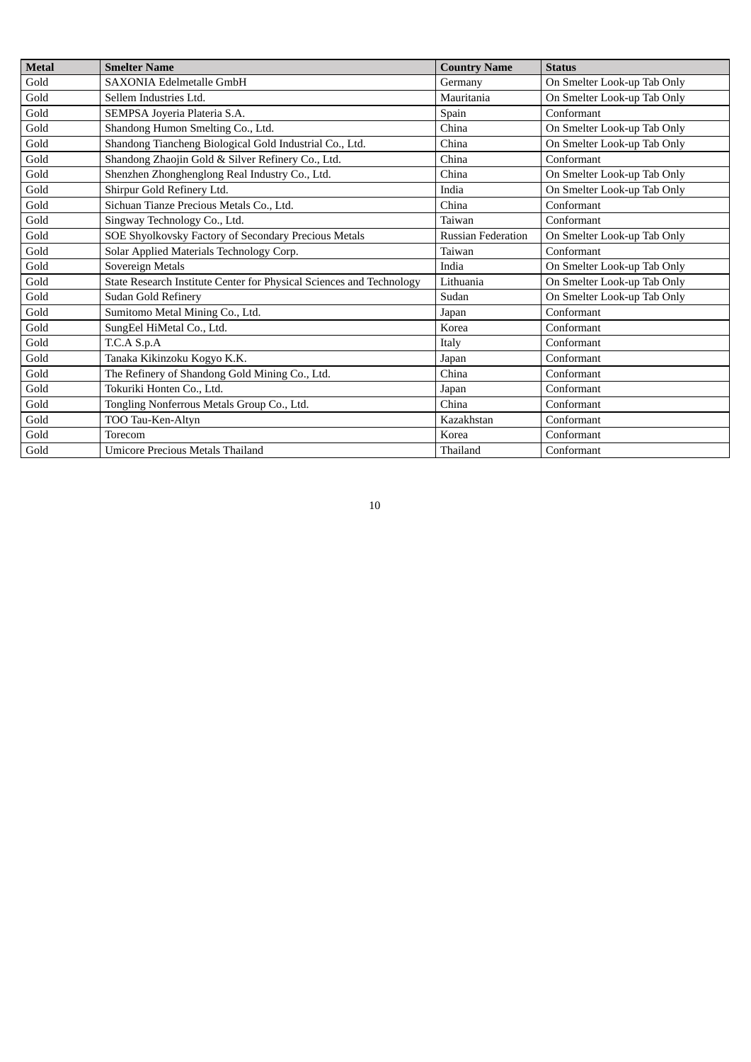| <b>Metal</b> | <b>Smelter Name</b>                                                  | <b>Country Name</b>       | <b>Status</b>               |
|--------------|----------------------------------------------------------------------|---------------------------|-----------------------------|
| Gold         | SAXONIA Edelmetalle GmbH                                             | Germany                   | On Smelter Look-up Tab Only |
| Gold         | Sellem Industries Ltd.                                               | Mauritania                | On Smelter Look-up Tab Only |
| Gold         | SEMPSA Joyeria Plateria S.A.                                         | Spain                     | Conformant                  |
| Gold         | Shandong Humon Smelting Co., Ltd.                                    | China                     | On Smelter Look-up Tab Only |
| Gold         | Shandong Tiancheng Biological Gold Industrial Co., Ltd.              | China                     | On Smelter Look-up Tab Only |
| Gold         | Shandong Zhaojin Gold & Silver Refinery Co., Ltd.                    | China                     | Conformant                  |
| Gold         | Shenzhen Zhonghenglong Real Industry Co., Ltd.                       | China                     | On Smelter Look-up Tab Only |
| Gold         | Shirpur Gold Refinery Ltd.                                           | India                     | On Smelter Look-up Tab Only |
| Gold         | Sichuan Tianze Precious Metals Co., Ltd.                             | China                     | Conformant                  |
| Gold         | Singway Technology Co., Ltd.                                         | Taiwan                    | Conformant                  |
| Gold         | SOE Shyolkovsky Factory of Secondary Precious Metals                 | <b>Russian Federation</b> | On Smelter Look-up Tab Only |
| Gold         | Solar Applied Materials Technology Corp.                             | Taiwan                    | Conformant                  |
| Gold         | Sovereign Metals                                                     | India                     | On Smelter Look-up Tab Only |
| Gold         | State Research Institute Center for Physical Sciences and Technology | Lithuania                 | On Smelter Look-up Tab Only |
| Gold         | Sudan Gold Refinery                                                  | Sudan                     | On Smelter Look-up Tab Only |
| Gold         | Sumitomo Metal Mining Co., Ltd.                                      | Japan                     | Conformant                  |
| Gold         | SungEel HiMetal Co., Ltd.                                            | Korea                     | Conformant                  |
| Gold         | T.C.A S.p.A                                                          | Italy                     | Conformant                  |
| Gold         | Tanaka Kikinzoku Kogyo K.K.                                          | Japan                     | Conformant                  |
| Gold         | The Refinery of Shandong Gold Mining Co., Ltd.                       | China                     | Conformant                  |
| Gold         | Tokuriki Honten Co., Ltd.                                            | Japan                     | Conformant                  |
| Gold         | Tongling Nonferrous Metals Group Co., Ltd.                           | China                     | Conformant                  |
| Gold         | TOO Tau-Ken-Altyn                                                    | Kazakhstan                | Conformant                  |
| Gold         | Torecom                                                              | Korea                     | Conformant                  |
| Gold         | <b>Umicore Precious Metals Thailand</b>                              | Thailand                  | Conformant                  |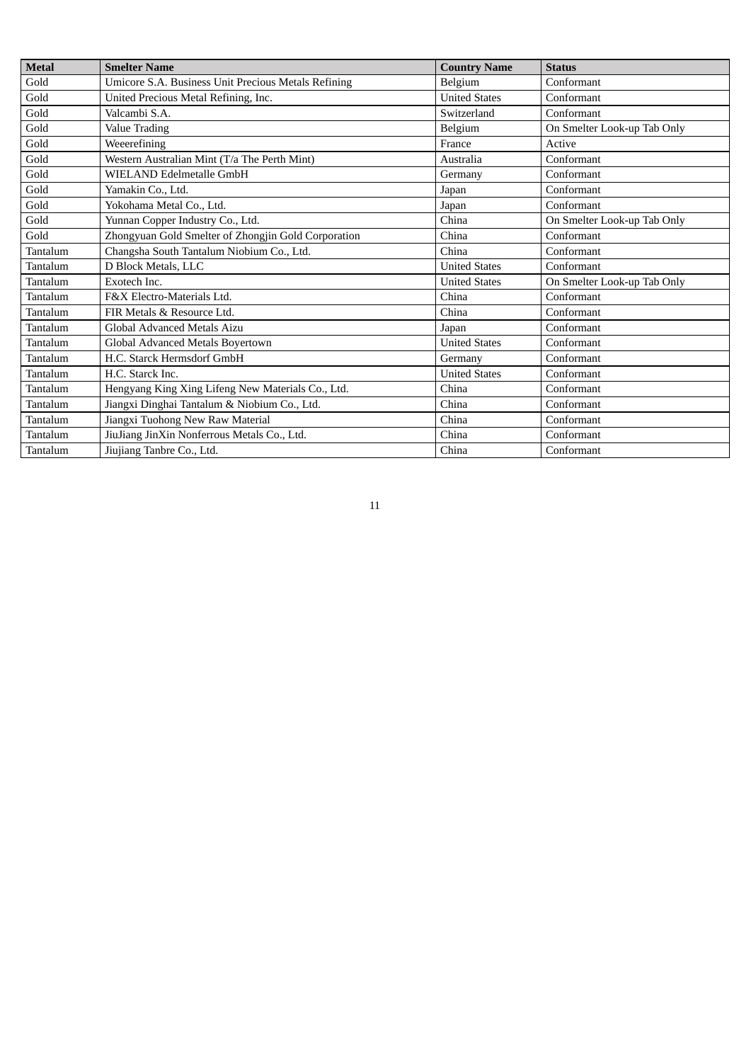| <b>Metal</b> | <b>Smelter Name</b>                                 | <b>Country Name</b>  | <b>Status</b>               |
|--------------|-----------------------------------------------------|----------------------|-----------------------------|
| Gold         | Umicore S.A. Business Unit Precious Metals Refining | Belgium              | Conformant                  |
| Gold         | United Precious Metal Refining, Inc.                | <b>United States</b> | Conformant                  |
| Gold         | Valcambi S.A.                                       | Switzerland          | Conformant                  |
| Gold         | <b>Value Trading</b>                                | Belgium              | On Smelter Look-up Tab Only |
| Gold         | Weeerefining                                        | France               | Active                      |
| Gold         | Western Australian Mint (T/a The Perth Mint)        | Australia            | Conformant                  |
| Gold         | WIELAND Edelmetalle GmbH                            | Germany              | Conformant                  |
| Gold         | Yamakin Co., Ltd.                                   | Japan                | Conformant                  |
| Gold         | Yokohama Metal Co., Ltd.                            | Japan                | Conformant                  |
| Gold         | Yunnan Copper Industry Co., Ltd.                    | China                | On Smelter Look-up Tab Only |
| Gold         | Zhongyuan Gold Smelter of Zhongjin Gold Corporation | China                | Conformant                  |
| Tantalum     | Changsha South Tantalum Niobium Co., Ltd.           | China                | Conformant                  |
| Tantalum     | D Block Metals, LLC                                 | <b>United States</b> | Conformant                  |
| Tantalum     | Exotech Inc.                                        | <b>United States</b> | On Smelter Look-up Tab Only |
| Tantalum     | F&X Electro-Materials Ltd.                          | China                | Conformant                  |
| Tantalum     | FIR Metals & Resource Ltd.                          | China                | Conformant                  |
| Tantalum     | Global Advanced Metals Aizu                         | Japan                | Conformant                  |
| Tantalum     | Global Advanced Metals Bovertown                    | <b>United States</b> | Conformant                  |
| Tantalum     | H.C. Starck Hermsdorf GmbH                          | Germany              | Conformant                  |
| Tantalum     | H.C. Starck Inc.                                    | <b>United States</b> | Conformant                  |
| Tantalum     | Hengyang King Xing Lifeng New Materials Co., Ltd.   | China                | Conformant                  |
| Tantalum     | Jiangxi Dinghai Tantalum & Niobium Co., Ltd.        | China                | Conformant                  |
| Tantalum     | Jiangxi Tuohong New Raw Material                    | China                | Conformant                  |
| Tantalum     | JiuJiang JinXin Nonferrous Metals Co., Ltd.         | China                | Conformant                  |
| Tantalum     | Jiujiang Tanbre Co., Ltd.                           | China                | Conformant                  |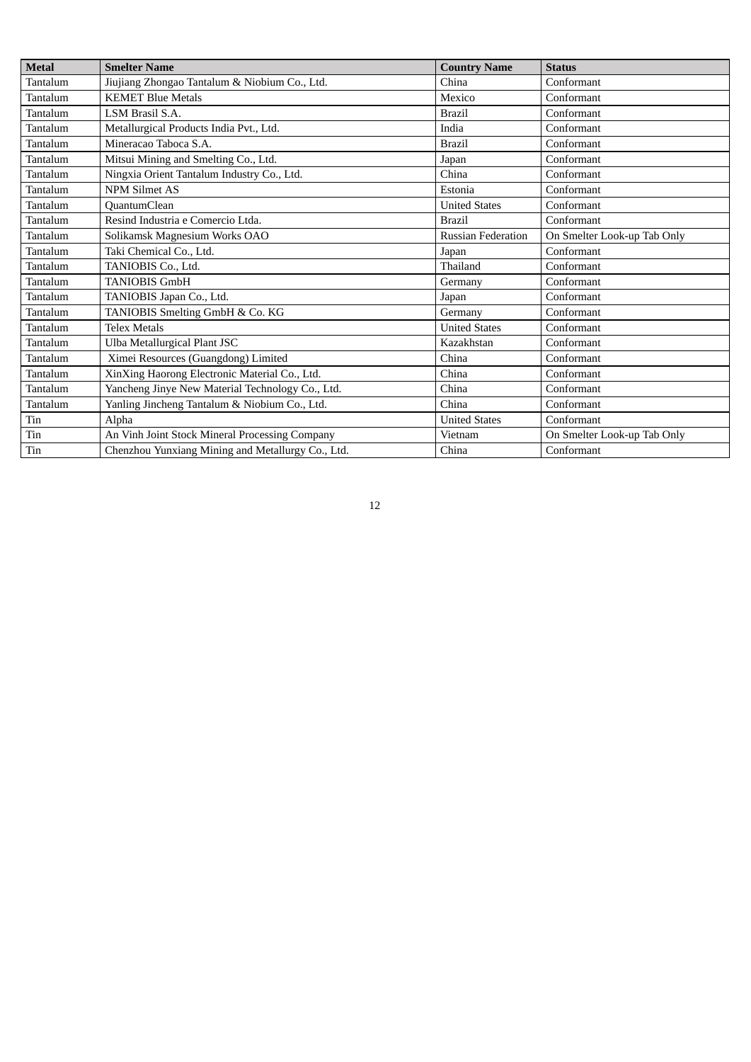| <b>Metal</b> | <b>Smelter Name</b>                               | <b>Country Name</b>       | <b>Status</b>               |
|--------------|---------------------------------------------------|---------------------------|-----------------------------|
| Tantalum     | Jiujiang Zhongao Tantalum & Niobium Co., Ltd.     | China                     | Conformant                  |
| Tantalum     | <b>KEMET Blue Metals</b>                          | Mexico                    | Conformant                  |
| Tantalum     | LSM Brasil S.A.                                   | <b>Brazil</b>             | Conformant                  |
| Tantalum     | Metallurgical Products India Pvt., Ltd.           | India                     | Conformant                  |
| Tantalum     | Mineracao Taboca S.A.                             | <b>Brazil</b>             | Conformant                  |
| Tantalum     | Mitsui Mining and Smelting Co., Ltd.              | Japan                     | Conformant                  |
| Tantalum     | Ningxia Orient Tantalum Industry Co., Ltd.        | China                     | Conformant                  |
| Tantalum     | <b>NPM Silmet AS</b>                              | Estonia                   | Conformant                  |
| Tantalum     | QuantumClean                                      | <b>United States</b>      | Conformant                  |
| Tantalum     | Resind Industria e Comercio Ltda.                 | <b>Brazil</b>             | Conformant                  |
| Tantalum     | Solikamsk Magnesium Works OAO                     | <b>Russian Federation</b> | On Smelter Look-up Tab Only |
| Tantalum     | Taki Chemical Co., Ltd.                           | Japan                     | Conformant                  |
| Tantalum     | TANIOBIS Co., Ltd.                                | Thailand                  | Conformant                  |
| Tantalum     | <b>TANIOBIS GmbH</b>                              | Germany                   | Conformant                  |
| Tantalum     | TANIOBIS Japan Co., Ltd.                          | Japan                     | Conformant                  |
| Tantalum     | TANIOBIS Smelting GmbH & Co. KG                   | Germany                   | Conformant                  |
| Tantalum     | <b>Telex Metals</b>                               | <b>United States</b>      | Conformant                  |
| Tantalum     | Ulba Metallurgical Plant JSC                      | Kazakhstan                | Conformant                  |
| Tantalum     | Ximei Resources (Guangdong) Limited               | China                     | Conformant                  |
| Tantalum     | XinXing Haorong Electronic Material Co., Ltd.     | China                     | Conformant                  |
| Tantalum     | Yancheng Jinye New Material Technology Co., Ltd.  | China                     | Conformant                  |
| Tantalum     | Yanling Jincheng Tantalum & Niobium Co., Ltd.     | China                     | Conformant                  |
| Tin          | Alpha                                             | <b>United States</b>      | Conformant                  |
| Tin          | An Vinh Joint Stock Mineral Processing Company    | Vietnam                   | On Smelter Look-up Tab Only |
| Tin          | Chenzhou Yunxiang Mining and Metallurgy Co., Ltd. | China                     | Conformant                  |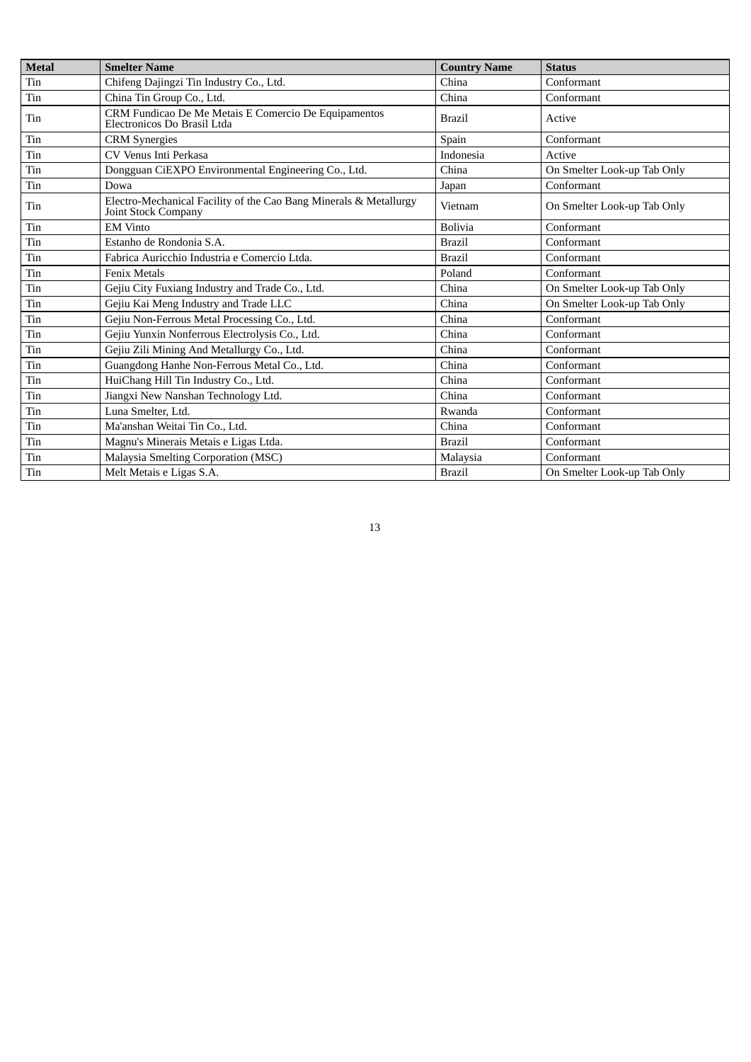| <b>Metal</b> | <b>Smelter Name</b>                                                                             | <b>Country Name</b> | <b>Status</b>               |
|--------------|-------------------------------------------------------------------------------------------------|---------------------|-----------------------------|
| Tin          | Chifeng Dajingzi Tin Industry Co., Ltd.                                                         | China               | Conformant                  |
| Tin          | China Tin Group Co., Ltd.                                                                       | China               | Conformant                  |
| Tin          | CRM Fundicao De Me Metais E Comercio De Equipamentos<br>Electronicos Do Brasil Ltda             | <b>Brazil</b>       | Active                      |
| Tin          | <b>CRM</b> Synergies                                                                            | Spain               | Conformant                  |
| Tin          | CV Venus Inti Perkasa                                                                           | Indonesia           | Active                      |
| Tin          | Dongguan CiEXPO Environmental Engineering Co., Ltd.                                             | China               | On Smelter Look-up Tab Only |
| Tin          | Dowa                                                                                            | Japan               | Conformant                  |
| Tin          | Electro-Mechanical Facility of the Cao Bang Minerals & Metallurgy<br><b>Joint Stock Company</b> | Vietnam             | On Smelter Look-up Tab Only |
| Tin          | <b>EM Vinto</b>                                                                                 | <b>Bolivia</b>      | Conformant                  |
| Tin          | Estanho de Rondonia S.A.                                                                        | <b>Brazil</b>       | Conformant                  |
| Tin          | Fabrica Auricchio Industria e Comercio Ltda.                                                    | <b>Brazil</b>       | Conformant                  |
| Tin          | <b>Fenix Metals</b>                                                                             | Poland              | Conformant                  |
| Tin          | Gejiu City Fuxiang Industry and Trade Co., Ltd.                                                 | China               | On Smelter Look-up Tab Only |
| Tin          | Gejiu Kai Meng Industry and Trade LLC                                                           | China               | On Smelter Look-up Tab Only |
| Tin          | Gejiu Non-Ferrous Metal Processing Co., Ltd.                                                    | China               | Conformant                  |
| Tin          | Gejiu Yunxin Nonferrous Electrolysis Co., Ltd.                                                  | China               | Conformant                  |
| Tin          | Gejiu Zili Mining And Metallurgy Co., Ltd.                                                      | China               | Conformant                  |
| Tin          | Guangdong Hanhe Non-Ferrous Metal Co., Ltd.                                                     | China               | Conformant                  |
| Tin          | HuiChang Hill Tin Industry Co., Ltd.                                                            | China               | Conformant                  |
| Tin          | Jiangxi New Nanshan Technology Ltd.                                                             | China               | Conformant                  |
| Tin          | Luna Smelter, Ltd.                                                                              | Rwanda              | Conformant                  |
| Tin          | Ma'anshan Weitai Tin Co., Ltd.                                                                  | China               | Conformant                  |
| Tin          | Magnu's Minerais Metais e Ligas Ltda.                                                           | <b>Brazil</b>       | Conformant                  |
| Tin          | Malaysia Smelting Corporation (MSC)                                                             | Malaysia            | Conformant                  |
| Tin          | Melt Metais e Ligas S.A.                                                                        | <b>Brazil</b>       | On Smelter Look-up Tab Only |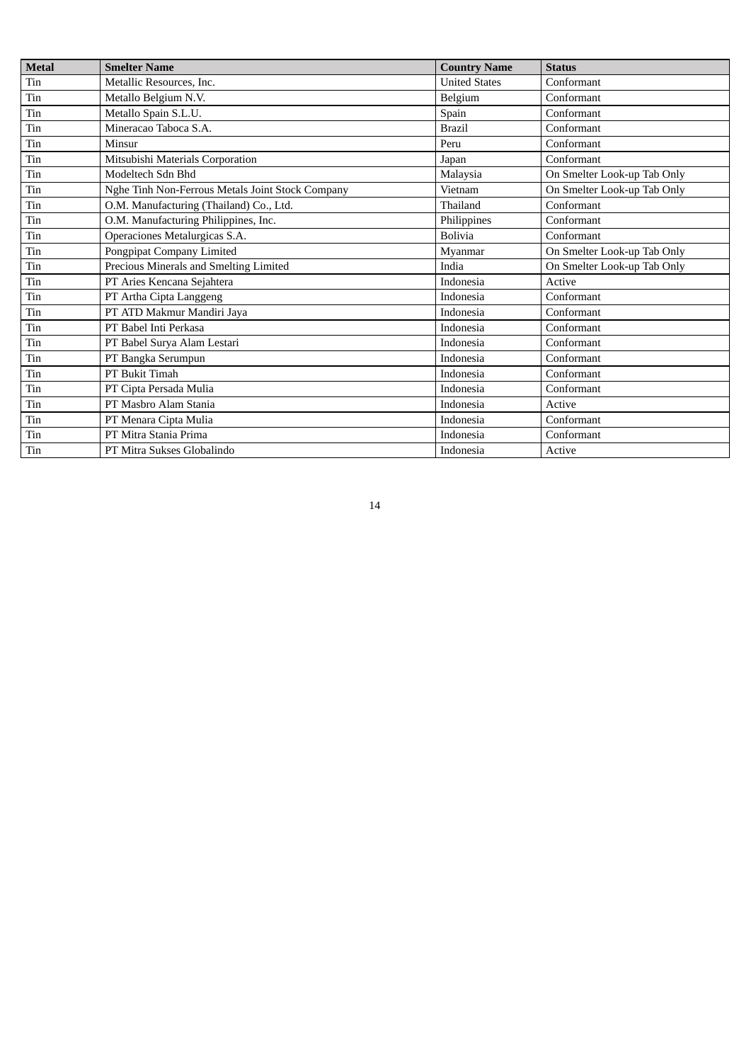| <b>Metal</b> | <b>Smelter Name</b>                              | <b>Country Name</b>  | <b>Status</b>               |  |
|--------------|--------------------------------------------------|----------------------|-----------------------------|--|
| Tin          | Metallic Resources, Inc.                         | <b>United States</b> | Conformant                  |  |
| Tin          | Metallo Belgium N.V.                             | Belgium              | Conformant                  |  |
| Tin          | Metallo Spain S.L.U.                             | Spain                | Conformant                  |  |
| Tin          | Mineracao Taboca S.A.                            | <b>Brazil</b>        | Conformant                  |  |
| Tin          | Minsur                                           | Peru                 | Conformant                  |  |
| Tin          | Mitsubishi Materials Corporation                 | Japan                | Conformant                  |  |
| Tin          | Modeltech Sdn Bhd                                | Malaysia             | On Smelter Look-up Tab Only |  |
| Tin          | Nghe Tinh Non-Ferrous Metals Joint Stock Company | Vietnam              | On Smelter Look-up Tab Only |  |
| Tin          | O.M. Manufacturing (Thailand) Co., Ltd.          | Thailand             | Conformant                  |  |
| Tin          | O.M. Manufacturing Philippines, Inc.             | Philippines          | Conformant                  |  |
| Tin          | Operaciones Metalurgicas S.A.                    | <b>Bolivia</b>       | Conformant                  |  |
| Tin          | Pongpipat Company Limited                        | Myanmar              | On Smelter Look-up Tab Only |  |
| Tin          | Precious Minerals and Smelting Limited           | India                | On Smelter Look-up Tab Only |  |
| Tin          | PT Aries Kencana Sejahtera                       | Indonesia            | Active                      |  |
| Tin          | PT Artha Cipta Langgeng                          | Indonesia            | Conformant                  |  |
| Tin          | PT ATD Makmur Mandiri Jaya                       | Indonesia            | Conformant                  |  |
| Tin          | PT Babel Inti Perkasa                            | Indonesia            | Conformant                  |  |
| Tin          | PT Babel Surya Alam Lestari                      | Indonesia            | Conformant                  |  |
| Tin          | PT Bangka Serumpun                               | Indonesia            | Conformant                  |  |
| Tin          | PT Bukit Timah                                   | Indonesia            | Conformant                  |  |
| Tin          | PT Cipta Persada Mulia                           | Indonesia            | Conformant                  |  |
| Tin          | PT Masbro Alam Stania                            | Indonesia            | Active                      |  |
| Tin          | PT Menara Cipta Mulia                            | Indonesia            | Conformant                  |  |
| Tin          | PT Mitra Stania Prima                            | Indonesia            | Conformant                  |  |
| Tin          | PT Mitra Sukses Globalindo                       | Indonesia            | Active                      |  |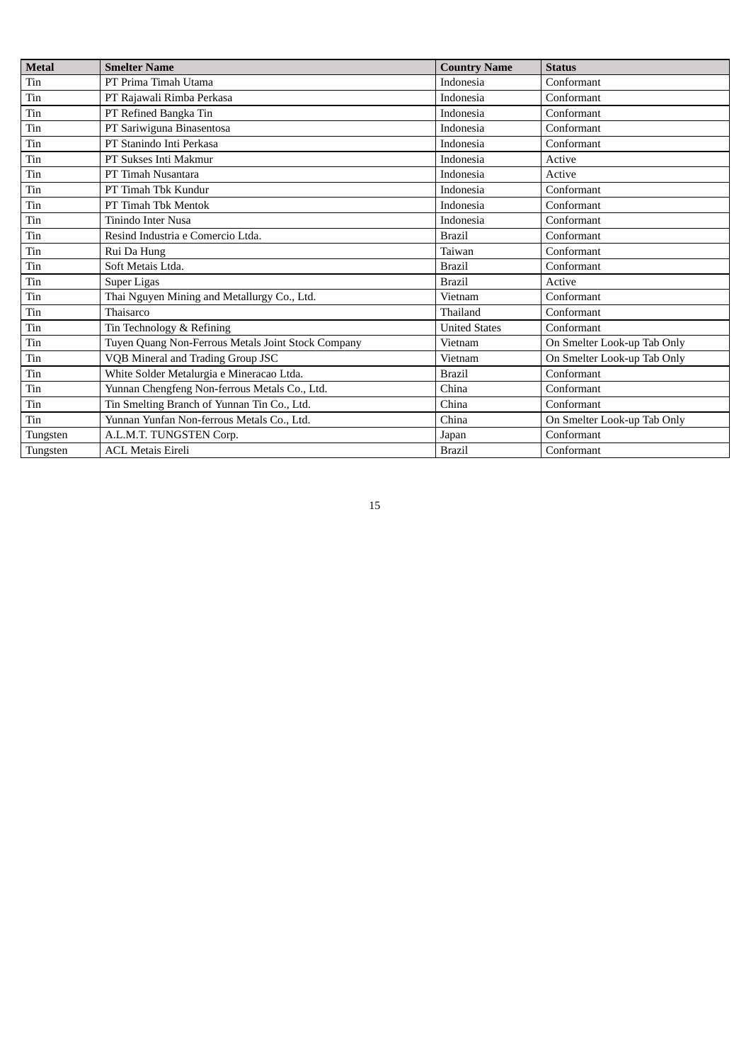| <b>Metal</b> | <b>Smelter Name</b>                                | <b>Country Name</b>  | <b>Status</b>               |
|--------------|----------------------------------------------------|----------------------|-----------------------------|
| Tin          | PT Prima Timah Utama                               | <b>Indonesia</b>     | Conformant                  |
| Tin          | PT Rajawali Rimba Perkasa                          | Indonesia            | Conformant                  |
| Tin          | PT Refined Bangka Tin                              | Indonesia            | Conformant                  |
| Tin          | PT Sariwiguna Binasentosa                          | Indonesia            | Conformant                  |
|              | PT Stanindo Inti Perkasa                           | <b>Indonesia</b>     | Conformant                  |
| Tin          | PT Sukses Inti Makmur                              | Indonesia            | Active                      |
| Tin          | PT Timah Nusantara                                 | Indonesia            | Active                      |
| Tin          | PT Timah Tbk Kundur                                | <b>Indonesia</b>     | Conformant                  |
| Tin          | PT Timah Tbk Mentok                                | Indonesia            | Conformant                  |
|              | Tinindo Inter Nusa                                 | <b>Indonesia</b>     | Conformant                  |
| Tin          | Resind Industria e Comercio Ltda.                  | <b>Brazil</b>        | Conformant                  |
| Tin          | Rui Da Hung                                        | Taiwan               | Conformant                  |
| Tin          | Soft Metais Ltda.                                  | <b>Brazil</b>        | Conformant                  |
| Tin          | Super Ligas                                        | <b>Brazil</b>        | Active                      |
| $\rm Tin$    | Thai Nguyen Mining and Metallurgy Co., Ltd.        | Vietnam              | Conformant                  |
| Tin          | Thaisarco                                          | Thailand             | Conformant                  |
| Tin          | Tin Technology & Refining                          | <b>United States</b> | Conformant                  |
| Tin          | Tuyen Quang Non-Ferrous Metals Joint Stock Company | Vietnam              | On Smelter Look-up Tab Only |
| Tin          | VQB Mineral and Trading Group JSC                  | Vietnam              | On Smelter Look-up Tab Only |
| Tin          | White Solder Metalurgia e Mineracao Ltda.          | <b>Brazil</b>        | Conformant                  |
| Tin          | Yunnan Chengfeng Non-ferrous Metals Co., Ltd.      | China                | Conformant                  |
| Tin          | Tin Smelting Branch of Yunnan Tin Co., Ltd.        | China                | Conformant                  |
| Tin          | Yunnan Yunfan Non-ferrous Metals Co., Ltd.         | China                | On Smelter Look-up Tab Only |
| Tungsten     | A.L.M.T. TUNGSTEN Corp.                            | Japan                | Conformant                  |
| Tungsten     | <b>ACL Metais Eireli</b>                           | <b>Brazil</b>        | Conformant                  |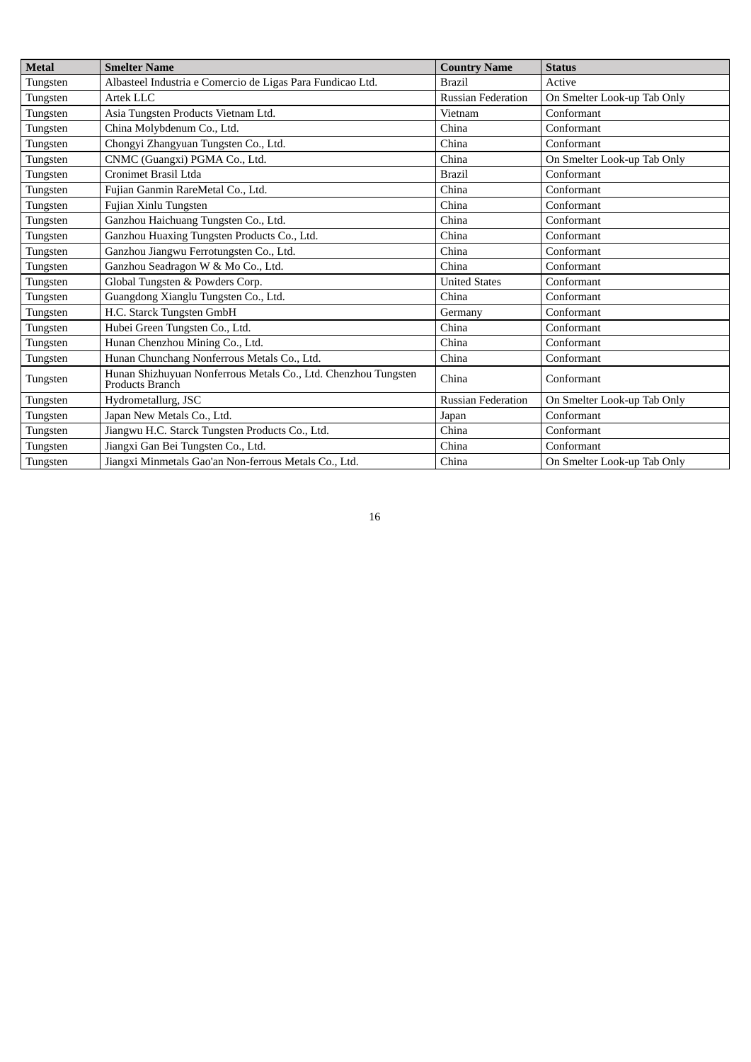| <b>Metal</b> | <b>Smelter Name</b>                                                               | <b>Country Name</b>       | <b>Status</b>               |  |
|--------------|-----------------------------------------------------------------------------------|---------------------------|-----------------------------|--|
| Tungsten     | Albasteel Industria e Comercio de Ligas Para Fundicao Ltd.                        | <b>Brazil</b>             | Active                      |  |
| Tungsten     | Artek LLC                                                                         | <b>Russian Federation</b> | On Smelter Look-up Tab Only |  |
| Tungsten     | Asia Tungsten Products Vietnam Ltd.                                               | Vietnam                   | Conformant                  |  |
| Tungsten     | China Molybdenum Co., Ltd.                                                        | China                     | Conformant                  |  |
| Tungsten     | Chongyi Zhangyuan Tungsten Co., Ltd.                                              | China                     | Conformant                  |  |
| Tungsten     | CNMC (Guangxi) PGMA Co., Ltd.                                                     | China                     | On Smelter Look-up Tab Only |  |
| Tungsten     | Cronimet Brasil Ltda                                                              | <b>Brazil</b>             | Conformant                  |  |
| Tungsten     | Fujian Ganmin RareMetal Co., Ltd.                                                 | China                     | Conformant                  |  |
| Tungsten     | Fujian Xinlu Tungsten                                                             | China                     | Conformant                  |  |
| Tungsten     | Ganzhou Haichuang Tungsten Co., Ltd.                                              | China                     | Conformant                  |  |
| Tungsten     | Ganzhou Huaxing Tungsten Products Co., Ltd.                                       | China                     | Conformant                  |  |
| Tungsten     | Ganzhou Jiangwu Ferrotungsten Co., Ltd.                                           | China                     | Conformant                  |  |
| Tungsten     | Ganzhou Seadragon W & Mo Co., Ltd.                                                | China                     | Conformant                  |  |
| Tungsten     | Global Tungsten & Powders Corp.                                                   | <b>United States</b>      | Conformant                  |  |
| Tungsten     | Guangdong Xianglu Tungsten Co., Ltd.                                              | China                     | Conformant                  |  |
| Tungsten     | H.C. Starck Tungsten GmbH                                                         | Germany                   | Conformant                  |  |
| Tungsten     | Hubei Green Tungsten Co., Ltd.                                                    | China                     | Conformant                  |  |
| Tungsten     | Hunan Chenzhou Mining Co., Ltd.                                                   | China                     | Conformant                  |  |
| Tungsten     | Hunan Chunchang Nonferrous Metals Co., Ltd.                                       | China                     | Conformant                  |  |
| Tungsten     | Hunan Shizhuyuan Nonferrous Metals Co., Ltd. Chenzhou Tungsten<br>Products Branch | China                     | Conformant                  |  |
| Tungsten     | Hydrometallurg, JSC                                                               | Russian Federation        | On Smelter Look-up Tab Only |  |
| Tungsten     | Japan New Metals Co., Ltd.                                                        | Japan                     | Conformant                  |  |
| Tungsten     | Jiangwu H.C. Starck Tungsten Products Co., Ltd.                                   | China                     | Conformant                  |  |
| Tungsten     | Jiangxi Gan Bei Tungsten Co., Ltd.                                                | China                     | Conformant                  |  |
| Tungsten     | Jiangxi Minmetals Gao'an Non-ferrous Metals Co., Ltd.                             | China                     | On Smelter Look-up Tab Only |  |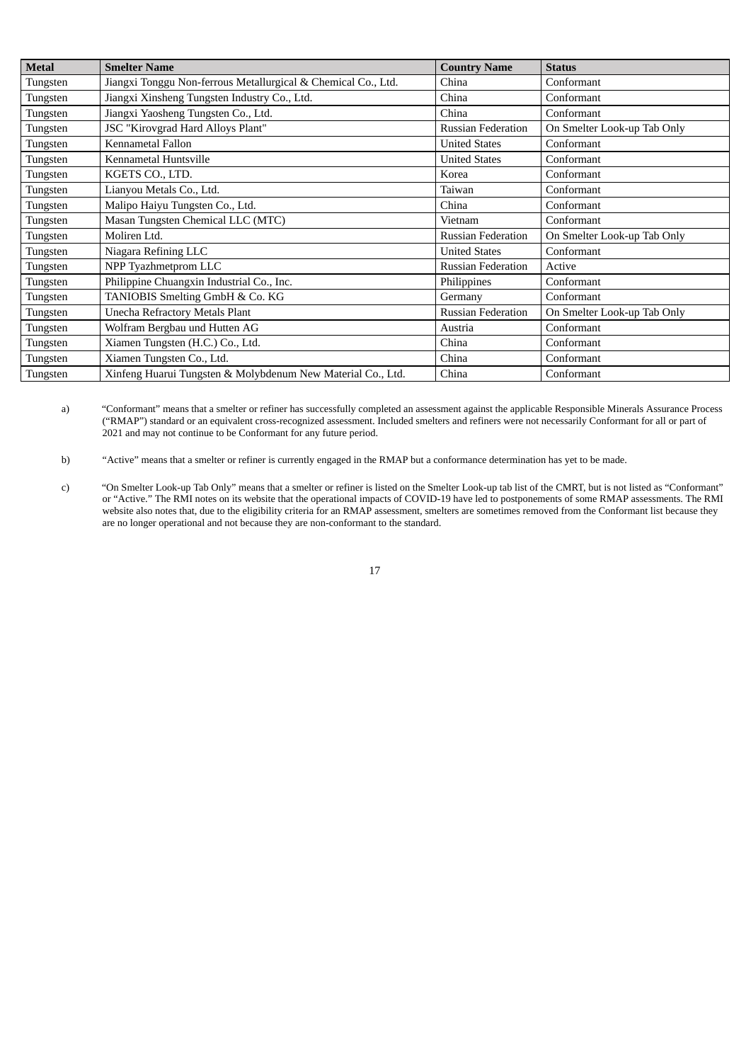| <b>Metal</b> | <b>Smelter Name</b>                                           | <b>Country Name</b>       | <b>Status</b>               |  |
|--------------|---------------------------------------------------------------|---------------------------|-----------------------------|--|
| Tungsten     | Jiangxi Tonggu Non-ferrous Metallurgical & Chemical Co., Ltd. | China                     | Conformant                  |  |
| Tungsten     | Jiangxi Xinsheng Tungsten Industry Co., Ltd.                  | China                     | Conformant                  |  |
| Tungsten     | Jiangxi Yaosheng Tungsten Co., Ltd.                           | China                     | Conformant                  |  |
| Tungsten     | JSC "Kirovgrad Hard Alloys Plant"                             | <b>Russian Federation</b> | On Smelter Look-up Tab Only |  |
| Tungsten     | Kennametal Fallon                                             | <b>United States</b>      | Conformant                  |  |
| Tungsten     | Kennametal Huntsville                                         | <b>United States</b>      | Conformant                  |  |
| Tungsten     | KGETS CO., LTD.                                               | Korea                     | Conformant                  |  |
| Tungsten     | Lianyou Metals Co., Ltd.                                      | Taiwan                    | Conformant                  |  |
| Tungsten     | Malipo Haiyu Tungsten Co., Ltd.                               | China                     | Conformant                  |  |
| Tungsten     | Masan Tungsten Chemical LLC (MTC)                             | Vietnam                   | Conformant                  |  |
| Tungsten     | Moliren Ltd.                                                  | <b>Russian Federation</b> | On Smelter Look-up Tab Only |  |
| Tungsten     | Niagara Refining LLC                                          | <b>United States</b>      | Conformant                  |  |
| Tungsten     | NPP Tyazhmetprom LLC                                          | <b>Russian Federation</b> | Active                      |  |
| Tungsten     | Philippine Chuangxin Industrial Co., Inc.                     | Philippines               | Conformant                  |  |
| Tungsten     | TANIOBIS Smelting GmbH & Co. KG                               | Germany                   | Conformant                  |  |
| Tungsten     | Unecha Refractory Metals Plant                                | <b>Russian Federation</b> | On Smelter Look-up Tab Only |  |
| Tungsten     | Wolfram Bergbau und Hutten AG                                 | Austria                   | Conformant                  |  |
| Tungsten     | Xiamen Tungsten (H.C.) Co., Ltd.                              | China                     | Conformant                  |  |
| Tungsten     | Xiamen Tungsten Co., Ltd.                                     | China                     | Conformant                  |  |
| Tungsten     | Xinfeng Huarui Tungsten & Molybdenum New Material Co., Ltd.   | China                     | Conformant                  |  |

a) "Conformant" means that a smelter or refiner has successfully completed an assessment against the applicable Responsible Minerals Assurance Process ("RMAP") standard or an equivalent cross-recognized assessment. Included smelters and refiners were not necessarily Conformant for all or part of 2021 and may not continue to be Conformant for any future period.

b) "Active" means that a smelter or refiner is currently engaged in the RMAP but a conformance determination has yet to be made.

c) "On Smelter Look-up Tab Only" means that a smelter or refiner is listed on the Smelter Look-up tab list of the CMRT, but is not listed as "Conformant" or "Active." The RMI notes on its website that the operational impacts of COVID-19 have led to postponements of some RMAP assessments. The RMI website also notes that, due to the eligibility criteria for an RMAP assessment, smelters are sometimes removed from the Conformant list because they are no longer operational and not because they are non-conformant to the standard.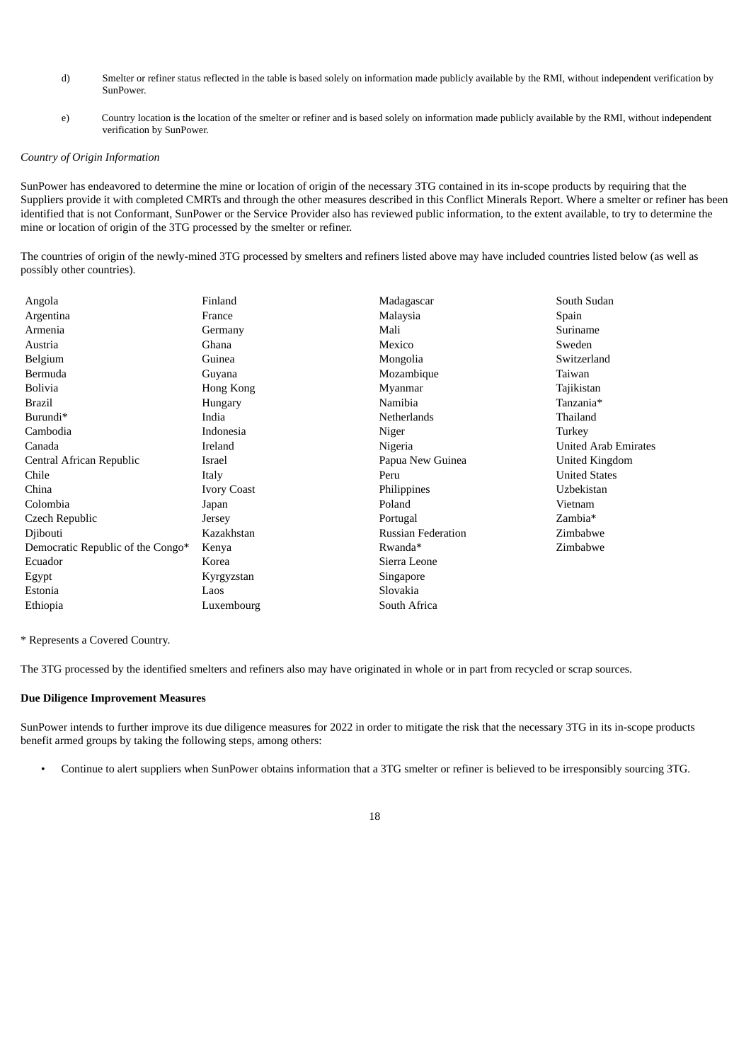- d) Smelter or refiner status reflected in the table is based solely on information made publicly available by the RMI, without independent verification by SunPower.
- e) Country location is the location of the smelter or refiner and is based solely on information made publicly available by the RMI, without independent verification by SunPower.

#### *Country of Origin Information*

SunPower has endeavored to determine the mine or location of origin of the necessary 3TG contained in its in-scope products by requiring that the Suppliers provide it with completed CMRTs and through the other measures described in this Conflict Minerals Report. Where a smelter or refiner has been identified that is not Conformant, SunPower or the Service Provider also has reviewed public information, to the extent available, to try to determine the mine or location of origin of the 3TG processed by the smelter or refiner.

The countries of origin of the newly-mined 3TG processed by smelters and refiners listed above may have included countries listed below (as well as possibly other countries).

| Angola                            | Finland            | Madagascar                | South Sudan                 |
|-----------------------------------|--------------------|---------------------------|-----------------------------|
| Argentina                         | France             | Malaysia                  | Spain                       |
| Armenia                           | Germany            | Mali                      | Suriname                    |
| Austria                           | Ghana              | Mexico                    | Sweden                      |
| Belgium                           | Guinea             | Mongolia                  | Switzerland                 |
| Bermuda                           | Guyana             | Mozambique                | Taiwan                      |
| <b>Bolivia</b>                    | Hong Kong          | Myanmar                   | Tajikistan                  |
| <b>Brazil</b>                     | Hungary            | Namibia                   | Tanzania*                   |
| Burundi*                          | India              | Netherlands               | Thailand                    |
| Cambodia                          | Indonesia          | Niger                     | Turkey                      |
| Canada                            | Ireland            | Nigeria                   | <b>United Arab Emirates</b> |
| Central African Republic          | Israel             | Papua New Guinea          | United Kingdom              |
| Chile                             | Italy              | Peru                      | <b>United States</b>        |
| China                             | <b>Ivory Coast</b> | Philippines               | Uzbekistan                  |
| Colombia                          | Japan              | Poland                    | Vietnam                     |
| Czech Republic                    | Jersey             | Portugal                  | Zambia*                     |
| Djibouti                          | Kazakhstan         | <b>Russian Federation</b> | Zimbabwe                    |
| Democratic Republic of the Congo* | Kenya              | Rwanda*                   | Zimbabwe                    |
| Ecuador                           | Korea              | Sierra Leone              |                             |
| Egypt                             | Kyrgyzstan         | Singapore                 |                             |
| Estonia                           | Laos               | Slovakia                  |                             |
| Ethiopia                          | Luxembourg         | South Africa              |                             |
|                                   |                    |                           |                             |

\* Represents a Covered Country.

The 3TG processed by the identified smelters and refiners also may have originated in whole or in part from recycled or scrap sources.

#### **Due Diligence Improvement Measures**

SunPower intends to further improve its due diligence measures for 2022 in order to mitigate the risk that the necessary 3TG in its in-scope products benefit armed groups by taking the following steps, among others:

• Continue to alert suppliers when SunPower obtains information that a 3TG smelter or refiner is believed to be irresponsibly sourcing 3TG.